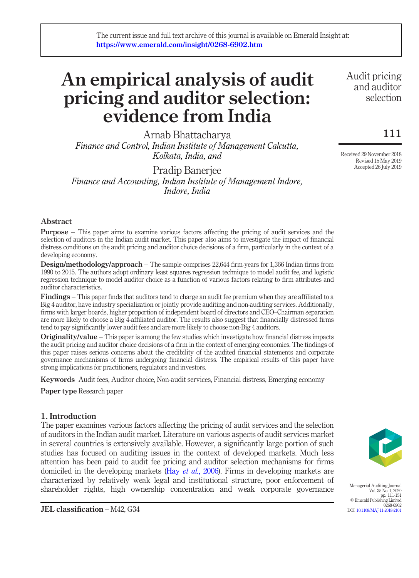# An empirical analysis of audit pricing and auditor selection: evidence from India

Arnab Bhattacharya *Finance and Control, Indian Institute of Management Calcutta, Kolkata, India, and*

Pradip Banerjee *Finance and Accounting, Indian Institute of Management Indore, Indore, India*

Audit pricing and auditor selection

111

Received 29 November 2018 Revised 15 May 2019 Accepted 26 July 2019

# Abstract

Purpose – This paper aims to examine various factors affecting the pricing of audit services and the selection of auditors in the Indian audit market. This paper also aims to investigate the impact of financial distress conditions on the audit pricing and auditor choice decisions of a firm, particularly in the context of a developing economy.

Design/methodology/approach – The sample comprises 22,644 firm-years for 1,366 Indian firms from 1990 to 2015. The authors adopt ordinary least squares regression technique to model audit fee, and logistic regression technique to model auditor choice as a function of various factors relating to firm attributes and auditor characteristics.

Findings – This paper finds that auditors tend to charge an audit fee premium when they are affiliated to a Big 4 auditor, have industry specialization or jointly provide auditing and non-auditing services. Additionally, firms with larger boards, higher proportion of independent board of directors and CEO–Chairman separation are more likely to choose a Big 4-affiliated auditor. The results also suggest that financially distressed firms tend to pay significantly lower audit fees and are more likely to choose non-Big 4 auditors.

**Originality/value** – This paper is among the few studies which investigate how financial distress impacts the audit pricing and auditor choice decisions of a firm in the context of emerging economies. The findings of this paper raises serious concerns about the credibility of the audited financial statements and corporate governance mechanisms of firms undergoing financial distress. The empirical results of this paper have strong implications for practitioners, regulators and investors.

Keywords Audit fees, Auditor choice, Non-audit services, Financial distress, Emerging economy

Paper type Research paper

# 1. Introduction

The paper examines various factors affecting the pricing of audit services and the selection of auditors in the Indian audit market. Literature on various aspects of audit services market in several countries is extensively available. However, a significantly large portion of such studies has focused on auditing issues in the context of developed markets. Much less attention has been paid to audit fee pricing and auditor selection mechanisms for firms domiciled in the developing markets (Hay *et al.*, 2006). Firms in developing markets are characterized by relatively weak legal and institutional structure, poor enforcement of shareholder rights, high ownership concentration and weak corporate governance



Managerial Auditing Journal Vol. 35 No. 1, 2020 pp. 111-151 © Emerald Publishing Limited 0268-6902 DOI 10.1108/MAJ-11-2018-2101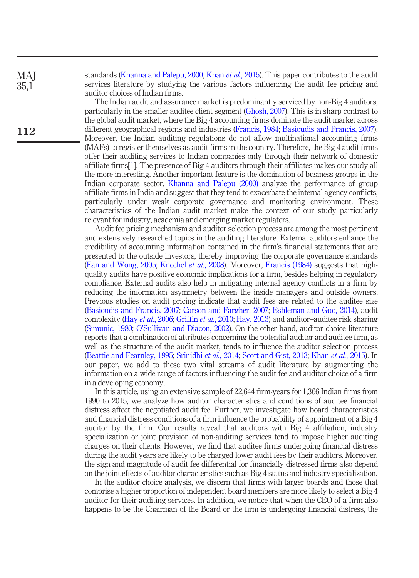standards (Khanna and Palepu, 2000; Khan *et al.*, 2015). This paper contributes to the audit services literature by studying the various factors influencing the audit fee pricing and auditor choices of Indian firms.

The Indian audit and assurance market is predominantly serviced by non-Big 4 auditors, particularly in the smaller auditee client segment (Ghosh, 2007). This is in sharp contrast to the global audit market, where the Big 4 accounting firms dominate the audit market across different geographical regions and industries (Francis, 1984; Basioudis and Francis, 2007). Moreover, the Indian auditing regulations do not allow multinational accounting firms (MAFs) to register themselves as audit firms in the country. Therefore, the Big 4 audit firms offer their auditing services to Indian companies only through their network of domestic affiliate firms[1]. The presence of Big 4 auditors through their affiliates makes our study all the more interesting. Another important feature is the domination of business groups in the Indian corporate sector. Khanna and Palepu (2000) analyze the performance of group affiliate firms in India and suggest that they tend to exacerbate the internal agency conflicts, particularly under weak corporate governance and monitoring environment. These characteristics of the Indian audit market make the context of our study particularly relevant for industry, academia and emerging market regulators.

Audit fee pricing mechanism and auditor selection process are among the most pertinent and extensively researched topics in the auditing literature. External auditors enhance the credibility of accounting information contained in the firm's financial statements that are presented to the outside investors, thereby improving the corporate governance standards (Fan and Wong, 2005; Knechel *et al.*, 2008). Moreover, Francis (1984) suggests that highquality audits have positive economic implications for a firm, besides helping in regulatory compliance. External audits also help in mitigating internal agency conflicts in a firm by reducing the information asymmetry between the inside managers and outside owners. Previous studies on audit pricing indicate that audit fees are related to the auditee size (Basioudis and Francis, 2007; Carson and Fargher, 2007; Eshleman and Guo, 2014), audit complexity (Hay *et al.*, 2006; Griffin *et al.*, 2010; Hay, 2013) and auditor–auditee risk sharing (Simunic, 1980; O'Sullivan and Diacon, 2002). On the other hand, auditor choice literature reports that a combination of attributes concerning the potential auditor and auditee firm, as well as the structure of the audit market, tends to influence the auditor selection process (Beattie and Fearnley, 1995; Srinidhi *et al.*, 2014; Scott and Gist, 2013; Khan *et al.*, 2015). In our paper, we add to these two vital streams of audit literature by augmenting the information on a wide range of factors influencing the audit fee and auditor choice of a firm in a developing economy.

In this article, using an extensive sample of 22,644 firm-years for 1,366 Indian firms from 1990 to 2015, we analyze how auditor characteristics and conditions of auditee financial distress affect the negotiated audit fee. Further, we investigate how board characteristics and financial distress conditions of a firm influence the probability of appointment of a Big 4 auditor by the firm. Our results reveal that auditors with Big 4 affiliation, industry specialization or joint provision of non-auditing services tend to impose higher auditing charges on their clients. However, we find that auditee firms undergoing financial distress during the audit years are likely to be charged lower audit fees by their auditors. Moreover, the sign and magnitude of audit fee differential for financially distressed firms also depend on the joint effects of auditor characteristics such as Big 4 status and industry specialization.

In the auditor choice analysis, we discern that firms with larger boards and those that comprise a higher proportion of independent board members are more likely to select a Big 4 auditor for their auditing services. In addition, we notice that when the CEO of a firm also happens to be the Chairman of the Board or the firm is undergoing financial distress, the

112

**MAI** 35,1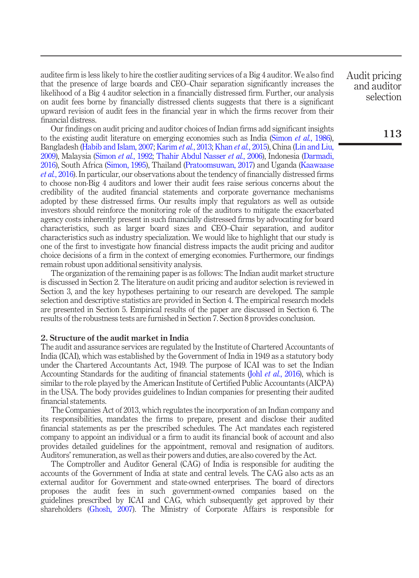auditee firm is less likely to hire the costlier auditing services of a Big 4 auditor. We also find that the presence of large boards and CEO–Chair separation significantly increases the likelihood of a Big 4 auditor selection in a financially distressed firm. Further, our analysis on audit fees borne by financially distressed clients suggests that there is a significant upward revision of audit fees in the financial year in which the firms recover from their financial distress.

Our findings on audit pricing and auditor choices of Indian firms add significant insights to the existing audit literature on emerging economies such as India (Simon *et al.*, 1986), Bangladesh (Habib and Islam, 2007; Karim *et al.*, 2013; Khan *et al.*, 2015), China (Lin and Liu, 2009), Malaysia (Simon *et al.*, 1992; Thahir Abdul Nasser *et al.*, 2006), Indonesia (Darmadi, 2016), South Africa (Simon, 1995), Thailand (Pratoomsuwan, 2017) and Uganda (Kaawaase *et al.*, 2016). In particular, our observations about the tendency of financially distressed firms to choose non-Big 4 auditors and lower their audit fees raise serious concerns about the credibility of the audited financial statements and corporate governance mechanisms adopted by these distressed firms. Our results imply that regulators as well as outside investors should reinforce the monitoring role of the auditors to mitigate the exacerbated agency costs inherently present in such financially distressed firms by advocating for board characteristics, such as larger board sizes and CEO–Chair separation, and auditor characteristics such as industry specialization. We would like to highlight that our study is one of the first to investigate how financial distress impacts the audit pricing and auditor choice decisions of a firm in the context of emerging economies. Furthermore, our findings remain robust upon additional sensitivity analysis.

The organization of the remaining paper is as follows: The Indian audit market structure is discussed in Section 2. The literature on audit pricing and auditor selection is reviewed in Section 3, and the key hypotheses pertaining to our research are developed. The sample selection and descriptive statistics are provided in Section 4. The empirical research models are presented in Section 5. Empirical results of the paper are discussed in Section 6. The results of the robustness tests are furnished in Section 7. Section 8 provides conclusion.

# 2. Structure of the audit market in India

The audit and assurance services are regulated by the Institute of Chartered Accountants of India (ICAI), which was established by the Government of India in 1949 as a statutory body under the Chartered Accountants Act, 1949. The purpose of ICAI was to set the Indian Accounting Standards for the auditing of financial statements (Johl *et al.*, 2016), which is similar to the role played by the American Institute of Certified Public Accountants (AICPA) in the USA. The body provides guidelines to Indian companies for presenting their audited financial statements.

The Companies Act of 2013, which regulates the incorporation of an Indian company and its responsibilities, mandates the firms to prepare, present and disclose their audited financial statements as per the prescribed schedules. The Act mandates each registered company to appoint an individual or a firm to audit its financial book of account and also provides detailed guidelines for the appointment, removal and resignation of auditors. Auditors' remuneration, as well as their powers and duties, are also covered by the Act.

The Comptroller and Auditor General (CAG) of India is responsible for auditing the accounts of the Government of India at state and central levels. The CAG also acts as an external auditor for Government and state-owned enterprises. The board of directors proposes the audit fees in such government-owned companies based on the guidelines prescribed by ICAI and CAG, which subsequently get approved by their shareholders (Ghosh, 2007). The Ministry of Corporate Affairs is responsible for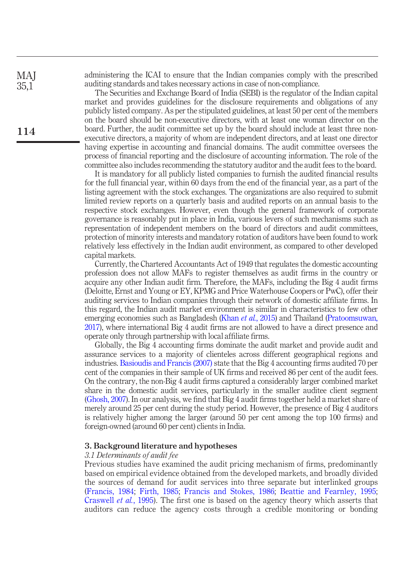administering the ICAI to ensure that the Indian companies comply with the prescribed auditing standards and takes necessary actions in case of non-compliance.

The Securities and Exchange Board of India (SEBI) is the regulator of the Indian capital market and provides guidelines for the disclosure requirements and obligations of any publicly listed company. As per the stipulated guidelines, at least 50 per cent of the members on the board should be non-executive directors, with at least one woman director on the board. Further, the audit committee set up by the board should include at least three nonexecutive directors, a majority of whom are independent directors, and at least one director having expertise in accounting and financial domains. The audit committee oversees the process of financial reporting and the disclosure of accounting information. The role of the committee also includes recommending the statutory auditor and the audit fees to the board.

It is mandatory for all publicly listed companies to furnish the audited financial results for the full financial year, within 60 days from the end of the financial year, as a part of the listing agreement with the stock exchanges. The organizations are also required to submit limited review reports on a quarterly basis and audited reports on an annual basis to the respective stock exchanges. However, even though the general framework of corporate governance is reasonably put in place in India, various levers of such mechanisms such as representation of independent members on the board of directors and audit committees, protection of minority interests and mandatory rotation of auditors have been found to work relatively less effectively in the Indian audit environment, as compared to other developed capital markets.

Currently, the Chartered Accountants Act of 1949 that regulates the domestic accounting profession does not allow MAFs to register themselves as audit firms in the country or acquire any other Indian audit firm. Therefore, the MAFs, including the Big 4 audit firms (Deloitte, Ernst and Young or EY, KPMG and Price Waterhouse Coopers or PwC), offer their auditing services to Indian companies through their network of domestic affiliate firms. In this regard, the Indian audit market environment is similar in characteristics to few other emerging economies such as Bangladesh (Khan *et al.*, 2015) and Thailand (Pratoomsuwan, 2017), where international Big 4 audit firms are not allowed to have a direct presence and operate only through partnership with local affiliate firms.

Globally, the Big 4 accounting firms dominate the audit market and provide audit and assurance services to a majority of clienteles across different geographical regions and industries. Basioudis and Francis (2007) state that the Big 4 accounting firms audited 70 per cent of the companies in their sample of UK firms and received 86 per cent of the audit fees. On the contrary, the non-Big 4 audit firms captured a considerably larger combined market share in the domestic audit services, particularly in the smaller auditee client segment (Ghosh, 2007). In our analysis, we find that Big 4 audit firms together held a market share of merely around 25 per cent during the study period. However, the presence of Big 4 auditors is relatively higher among the larger (around 50 per cent among the top 100 firms) and foreign-owned (around 60 per cent) clients in India.

#### 3. Background literature and hypotheses

#### *3.1 Determinants of audit fee*

Previous studies have examined the audit pricing mechanism of firms, predominantly based on empirical evidence obtained from the developed markets, and broadly divided the sources of demand for audit services into three separate but interlinked groups (Francis, 1984; Firth, 1985; Francis and Stokes, 1986; Beattie and Fearnley, 1995; Craswell *et al.*, 1995). The first one is based on the agency theory which asserts that auditors can reduce the agency costs through a credible monitoring or bonding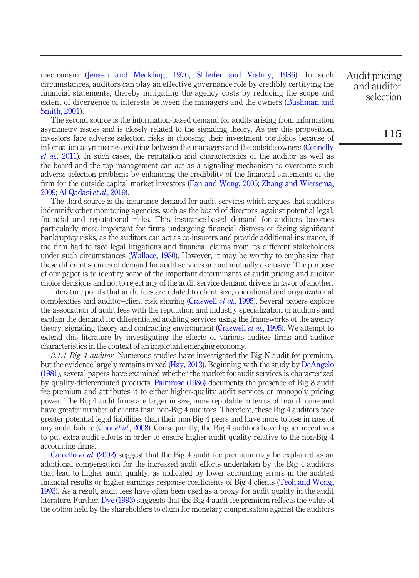mechanism (Jensen and Meckling, 1976; Shleifer and Vishny, 1986). In such circumstances, auditors can play an effective governance role by credibly certifying the financial statements, thereby mitigating the agency costs by reducing the scope and extent of divergence of interests between the managers and the owners (Bushman and Smith, 2001).

The second source is the information-based demand for audits arising from information asymmetry issues and is closely related to the signaling theory. As per this proposition, investors face adverse selection risks in choosing their investment portfolios because of information asymmetries existing between the managers and the outside owners (Connelly *et al.*, 2011). In such cases, the reputation and characteristics of the auditor as well as the board and the top management can act as a signaling mechanism to overcome such adverse selection problems by enhancing the credibility of the financial statements of the firm for the outside capital market investors (Fan and Wong, 2005; Zhang and Wiersema, 2009; Al-Qadasi *et al.*, 2019).

The third source is the insurance demand for audit services which argues that auditors indemnify other monitoring agencies, such as the board of directors, against potential legal, financial and reputational risks. This insurance-based demand for auditors becomes particularly more important for firms undergoing financial distress or facing significant bankruptcy risks, as the auditors can act as co-insurers and provide additional insurance, if the firm had to face legal litigations and financial claims from its different stakeholders under such circumstances (Wallace, 1980). However, it may be worthy to emphasize that these different sources of demand for audit services are not mutually exclusive. The purpose of our paper is to identify some of the important determinants of audit pricing and auditor choice decisions and not to reject any of the audit service demand drivers in favor of another.

Literature points that audit fees are related to client size, operational and organizational complexities and auditor–client risk sharing (Craswell *et al.*, 1995). Several papers explore the association of audit fees with the reputation and industry specialization of auditors and explain the demand for differentiated auditing services using the frameworks of the agency theory, signaling theory and contracting environment (Craswell *et al.*, 1995). We attempt to extend this literature by investigating the effects of various auditee firms and auditor characteristics in the context of an important emerging economy.

*3.1.1 Big 4 auditor.* Numerous studies have investigated the Big N audit fee premium, but the evidence largely remains mixed (Hay, 2013). Beginning with the study by DeAngelo (1981), several papers have examined whether the market for audit services is characterized by quality-differentiated products. Palmrose (1986) documents the presence of Big 8 audit fee premium and attributes it to either higher-quality audit services or monopoly pricing power. The Big 4 audit firms are larger in size, more reputable in terms of brand name and have greater number of clients than non-Big 4 auditors. Therefore, these Big 4 auditors face greater potential legal liabilities than their non-Big 4 peers and have more to lose in case of any audit failure (Choi *et al.*, 2008). Consequently, the Big 4 auditors have higher incentives to put extra audit efforts in order to ensure higher audit quality relative to the non-Big 4 accounting firms.

Carcello *et al.* (2002) suggest that the Big 4 audit fee premium may be explained as an additional compensation for the increased audit efforts undertaken by the Big 4 auditors that lead to higher audit quality, as indicated by lower accounting errors in the audited financial results or higher earnings response coefficients of Big 4 clients (Teoh and Wong, 1993). As a result, audit fees have often been used as a proxy for audit quality in the audit literature. Further, Dye (1993) suggests that the Big 4 audit fee premium reflects the value of the option held by the shareholders to claim for monetary compensation against the auditors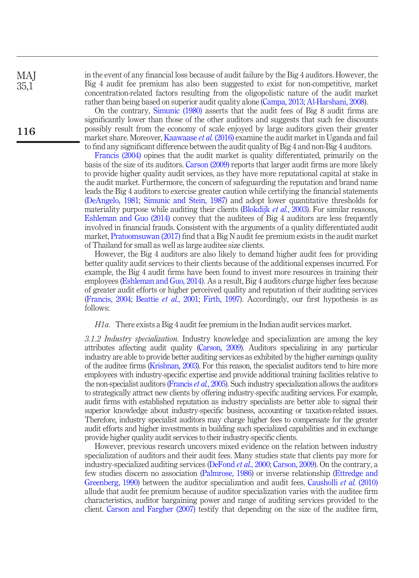in the event of any financial loss because of audit failure by the Big 4 auditors. However, the Big 4 audit fee premium has also been suggested to exist for non-competitive, market concentration-related factors resulting from the oligopolistic nature of the audit market rather than being based on superior audit quality alone (Campa, 2013; Al-Harshani, 2008).

On the contrary, Simunic (1980) asserts that the audit fees of Big 8 audit firms are significantly lower than those of the other auditors and suggests that such fee discounts possibly result from the economy of scale enjoyed by large auditors given their greater market share. Moreover, Kaawaase *et al.* (2016) examine the audit market in Uganda and fail to find any significant difference between the audit quality of Big 4 and non-Big 4 auditors.

Francis (2004) opines that the audit market is quality differentiated, primarily on the basis of the size of its auditors. Carson (2009) reports that larger audit firms are more likely to provide higher quality audit services, as they have more reputational capital at stake in the audit market. Furthermore, the concern of safeguarding the reputation and brand name leads the Big 4 auditors to exercise greater caution while certifying the financial statements (DeAngelo, 1981; Simunic and Stein, 1987) and adopt lower quantitative thresholds for materiality purpose while auditing their clients (Blokdijk *et al.*, 2003). For similar reasons, Eshleman and Guo (2014) convey that the auditees of Big 4 auditors are less frequently involved in financial frauds. Consistent with the arguments of a quality differentiated audit market, Pratoomsuwan (2017) find that a Big N audit fee premium exists in the audit market of Thailand for small as well as large auditee size clients.

However, the Big 4 auditors are also likely to demand higher audit fees for providing better quality audit services to their clients because of the additional expenses incurred. For example, the Big 4 audit firms have been found to invest more resources in training their employees (Eshleman and Guo, 2014). As a result, Big 4 auditors charge higher fees because of greater audit efforts or higher perceived quality and reputation of their auditing services (Francis, 2004; Beattie *et al.*, 2001; Firth, 1997). Accordingly, our first hypothesis is as follows:

*H1a*. There exists a Big 4 audit fee premium in the Indian audit services market.

*3.1.2 Industry specialization.* Industry knowledge and specialization are among the key attributes affecting audit quality (Carson, 2009). Auditors specializing in any particular industry are able to provide better auditing services as exhibited by the higher earnings quality of the auditee firms (Krishnan, 2003). For this reason, the specialist auditors tend to hire more employees with industry-specific expertise and provide additional training facilities relative to the non-specialist auditors (Francis *et al.*, 2005). Such industry specialization allows the auditors to strategically attract new clients by offering industry-specific auditing services. For example, audit firms with established reputation as industry specialists are better able to signal their superior knowledge about industry-specific business, accounting or taxation-related issues. Therefore, industry specialist auditors may charge higher fees to compensate for the greater audit efforts and higher investments in building such specialized capabilities and in exchange provide higher quality audit services to their industry-specific clients.

However, previous research uncovers mixed evidence on the relation between industry specialization of auditors and their audit fees. Many studies state that clients pay more for industry-specialized auditing services (DeFond *et al.*, 2000; Carson, 2009). On the contrary, a few studies discern no association (Palmrose, 1986) or inverse relationship (Ettredge and Greenberg, 1990) between the auditor specialization and audit fees. Causholli *et al.* (2010) allude that audit fee premium because of auditor specialization varies with the auditee firm characteristics, auditor bargaining power and range of auditing services provided to the client. Carson and Fargher (2007) testify that depending on the size of the auditee firm,

116

**MAI** 35,1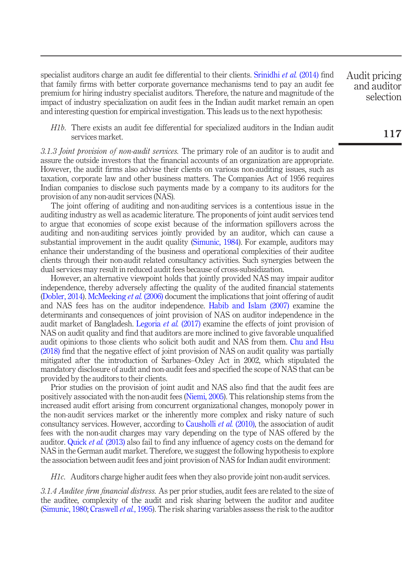specialist auditors charge an audit fee differential to their clients. Srinidhi *et al.* (2014) find that family firms with better corporate governance mechanisms tend to pay an audit fee premium for hiring industry specialist auditors. Therefore, the nature and magnitude of the impact of industry specialization on audit fees in the Indian audit market remain an open and interesting question for empirical investigation. This leads us to the next hypothesis:

*H1b*. There exists an audit fee differential for specialized auditors in the Indian audit services market.

*3.1.3 Joint provision of non-audit services.* The primary role of an auditor is to audit and assure the outside investors that the financial accounts of an organization are appropriate. However, the audit firms also advise their clients on various non-auditing issues, such as taxation, corporate law and other business matters. The Companies Act of 1956 requires Indian companies to disclose such payments made by a company to its auditors for the provision of any non-audit services (NAS).

The joint offering of auditing and non-auditing services is a contentious issue in the auditing industry as well as academic literature. The proponents of joint audit services tend to argue that economies of scope exist because of the information spillovers across the auditing and non-auditing services jointly provided by an auditor, which can cause a substantial improvement in the audit quality (Simunic, 1984). For example, auditors may enhance their understanding of the business and operational complexities of their auditee clients through their non-audit related consultancy activities. Such synergies between the dual services may result in reduced audit fees because of cross-subsidization.

However, an alternative viewpoint holds that jointly provided NAS may impair auditor independence, thereby adversely affecting the quality of the audited financial statements (Dobler, 2014). McMeeking *et al.* (2006) document the implications that joint offering of audit and NAS fees has on the auditor independence. Habib and Islam (2007) examine the determinants and consequences of joint provision of NAS on auditor independence in the audit market of Bangladesh. Legoria *et al.* (2017) examine the effects of joint provision of NAS on audit quality and find that auditors are more inclined to give favorable unqualified audit opinions to those clients who solicit both audit and NAS from them. Chu and Hsu (2018) find that the negative effect of joint provision of NAS on audit quality was partially mitigated after the introduction of Sarbanes–Oxley Act in 2002, which stipulated the mandatory disclosure of audit and non-audit fees and specified the scope of NAS that can be provided by the auditors to their clients.

Prior studies on the provision of joint audit and NAS also find that the audit fees are positively associated with the non-audit fees (Niemi, 2005). This relationship stems from the increased audit effort arising from concurrent organizational changes, monopoly power in the non-audit services market or the inherently more complex and risky nature of such consultancy services. However, according to Causholli *et al.* (2010), the association of audit fees with the non-audit charges may vary depending on the type of NAS offered by the auditor. Quick *et al.* (2013) also fail to find any influence of agency costs on the demand for NAS in the German audit market. Therefore, we suggest the following hypothesis to explore the association between audit fees and joint provision of NAS for Indian audit environment:

*H1c*. Auditors charge higher audit fees when they also provide joint non-audit services.

*3.1.4 Auditee* fi*rm* fi*nancial distress.* As per prior studies, audit fees are related to the size of the auditee, complexity of the audit and risk sharing between the auditor and auditee (Simunic, 1980; Craswell *et al.*, 1995). The risk sharing variables assess the risk to the auditor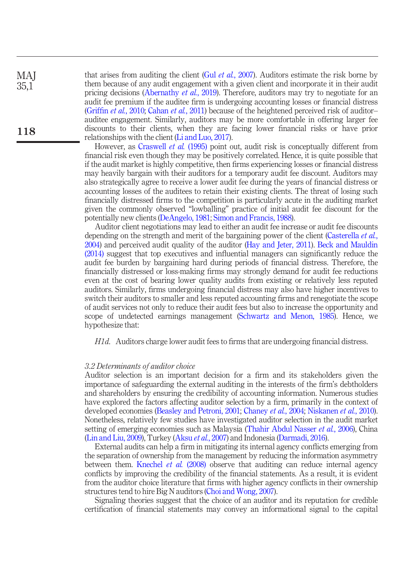that arises from auditing the client (Gul *et al.*, 2007). Auditors estimate the risk borne by them because of any audit engagement with a given client and incorporate it in their audit pricing decisions (Abernathy *et al.*, 2019). Therefore, auditors may try to negotiate for an audit fee premium if the auditee firm is undergoing accounting losses or financial distress (Griffin *et al.*, 2010; Cahan *et al.*, 2011) because of the heightened perceived risk of auditor– auditee engagement. Similarly, auditors may be more comfortable in offering larger fee discounts to their clients, when they are facing lower financial risks or have prior relationships with the client (Li and Luo, 2017). **MAI** 35,1 118

> However, as Craswell *et al.* (1995) point out, audit risk is conceptually different from financial risk even though they may be positively correlated. Hence, it is quite possible that if the audit market is highly competitive, then firms experiencing losses or financial distress may heavily bargain with their auditors for a temporary audit fee discount. Auditors may also strategically agree to receive a lower audit fee during the years of financial distress or accounting losses of the auditees to retain their existing clients. The threat of losing such financially distressed firms to the competition is particularly acute in the auditing market given the commonly observed "lowballing" practice of initial audit fee discount for the potentially new clients (DeAngelo, 1981; Simon and Francis, 1988).

> Auditor client negotiations may lead to either an audit fee increase or audit fee discounts depending on the strength and merit of the bargaining power of the client (Casterella *et al.*, 2004) and perceived audit quality of the auditor (Hay and Jeter, 2011). Beck and Mauldin (2014) suggest that top executives and influential managers can significantly reduce the audit fee burden by bargaining hard during periods of financial distress. Therefore, the financially distressed or loss-making firms may strongly demand for audit fee reductions even at the cost of bearing lower quality audits from existing or relatively less reputed auditors. Similarly, firms undergoing financial distress may also have higher incentives to switch their auditors to smaller and less reputed accounting firms and renegotiate the scope of audit services not only to reduce their audit fees but also to increase the opportunity and scope of undetected earnings management (Schwartz and Menon, 1985). Hence, we hypothesize that:

*H1d*. Auditors charge lower audit fees to firms that are undergoing financial distress.

#### *3.2 Determinants of auditor choice*

Auditor selection is an important decision for a firm and its stakeholders given the importance of safeguarding the external auditing in the interests of the firm's debtholders and shareholders by ensuring the credibility of accounting information. Numerous studies have explored the factors affecting auditor selection by a firm, primarily in the context of developed economies (Beasley and Petroni, 2001; Chaney *et al.*, 2004; Niskanen *et al.*, 2010). Nonetheless, relatively few studies have investigated auditor selection in the audit market setting of emerging economies such as Malaysia (Thahir Abdul Nasser *et al.*, 2006), China (Lin and Liu, 2009), Turkey (Aksu *et al.*, 2007) and Indonesia (Darmadi, 2016).

External audits can help a firm in mitigating its internal agency conflicts emerging from the separation of ownership from the management by reducing the information asymmetry between them. Knechel *et al.* (2008) observe that auditing can reduce internal agency conflicts by improving the credibility of the financial statements. As a result, it is evident from the auditor choice literature that firms with higher agency conflicts in their ownership structures tend to hire Big N auditors (Choi and Wong, 2007).

Signaling theories suggest that the choice of an auditor and its reputation for credible certification of financial statements may convey an informational signal to the capital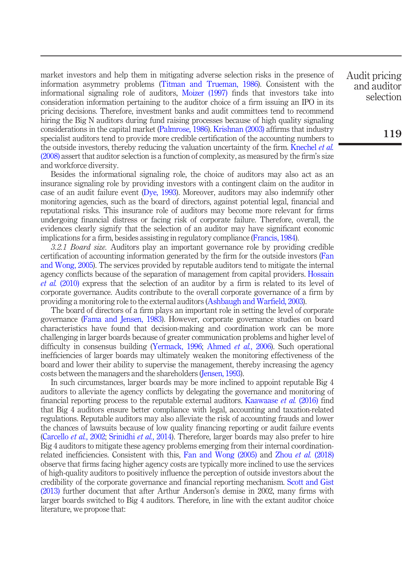market investors and help them in mitigating adverse selection risks in the presence of information asymmetry problems (Titman and Trueman, 1986). Consistent with the informational signaling role of auditors, Moizer (1997) finds that investors take into consideration information pertaining to the auditor choice of a firm issuing an IPO in its pricing decisions. Therefore, investment banks and audit committees tend to recommend hiring the Big N auditors during fund raising processes because of high quality signaling considerations in the capital market (Palmrose, 1986). Krishnan (2003) affirms that industry specialist auditors tend to provide more credible certification of the accounting numbers to the outside investors, thereby reducing the valuation uncertainty of the firm. Knechel *et al.* (2008) assert that auditor selection is a function of complexity, as measured by the firm's size and workforce diversity.

Besides the informational signaling role, the choice of auditors may also act as an insurance signaling role by providing investors with a contingent claim on the auditor in case of an audit failure event (Dye, 1993). Moreover, auditors may also indemnify other monitoring agencies, such as the board of directors, against potential legal, financial and reputational risks. This insurance role of auditors may become more relevant for firms undergoing financial distress or facing risk of corporate failure. Therefore, overall, the evidences clearly signify that the selection of an auditor may have significant economic implications for a firm, besides assisting in regulatory compliance (Francis, 1984).

*3.2.1 Board size.* Auditors play an important governance role by providing credible certification of accounting information generated by the firm for the outside investors (Fan and Wong, 2005). The services provided by reputable auditors tend to mitigate the internal agency conflicts because of the separation of management from capital providers. Hossain *et al.* (2010) express that the selection of an auditor by a firm is related to its level of corporate governance. Audits contribute to the overall corporate governance of a firm by providing a monitoring role to the external auditors (Ashbaugh and Warfield, 2003).

The board of directors of a firm plays an important role in setting the level of corporate governance (Fama and Jensen, 1983). However, corporate governance studies on board characteristics have found that decision-making and coordination work can be more challenging in larger boards because of greater communication problems and higher level of difficulty in consensus building (Yermack, 1996; Ahmed *et al.*, 2006). Such operational inefficiencies of larger boards may ultimately weaken the monitoring effectiveness of the board and lower their ability to supervise the management, thereby increasing the agency costs between the managers and the shareholders (Jensen, 1993).

In such circumstances, larger boards may be more inclined to appoint reputable Big 4 auditors to alleviate the agency conflicts by delegating the governance and monitoring of financial reporting process to the reputable external auditors. Kaawaase *et al.* (2016) find that Big 4 auditors ensure better compliance with legal, accounting and taxation-related regulations. Reputable auditors may also alleviate the risk of accounting frauds and lower the chances of lawsuits because of low quality financing reporting or audit failure events (Carcello *et al.*, 2002; Srinidhi *et al.*, 2014). Therefore, larger boards may also prefer to hire Big 4 auditors to mitigate these agency problems emerging from their internal coordinationrelated inefficiencies. Consistent with this, Fan and Wong (2005) and Zhou *et al.* (2018) observe that firms facing higher agency costs are typically more inclined to use the services of high-quality auditors to positively influence the perception of outside investors about the credibility of the corporate governance and financial reporting mechanism. Scott and Gist (2013) further document that after Arthur Anderson's demise in 2002, many firms with larger boards switched to Big 4 auditors. Therefore, in line with the extant auditor choice literature, we propose that: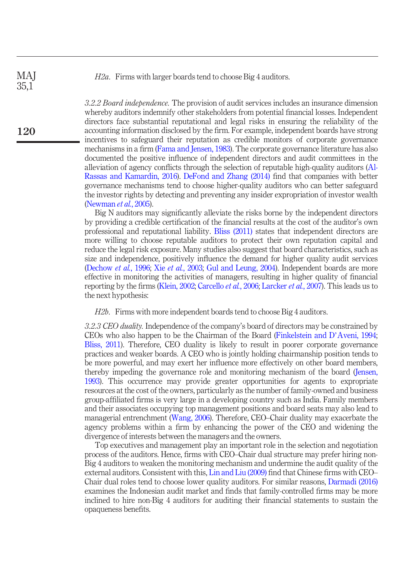*H2a*. Firms with larger boards tend to choose Big 4 auditors.

*3.2.2 Board independence.* The provision of audit services includes an insurance dimension whereby auditors indemnify other stakeholders from potential financial losses. Independent directors face substantial reputational and legal risks in ensuring the reliability of the accounting information disclosed by the firm. For example, independent boards have strong incentives to safeguard their reputation as credible monitors of corporate governance mechanisms in a firm (Fama and Jensen, 1983). The corporate governance literature has also documented the positive influence of independent directors and audit committees in the alleviation of agency conflicts through the selection of reputable high-quality auditors (Al-Rassas and Kamardin, 2016). DeFond and Zhang (2014) find that companies with better governance mechanisms tend to choose higher-quality auditors who can better safeguard the investor rights by detecting and preventing any insider expropriation of investor wealth (Newman *et al.*, 2005).

Big N auditors may significantly alleviate the risks borne by the independent directors by providing a credible certification of the financial results at the cost of the auditor's own professional and reputational liability. Bliss (2011) states that independent directors are more willing to choose reputable auditors to protect their own reputation capital and reduce the legal risk exposure. Many studies also suggest that board characteristics, such as size and independence, positively influence the demand for higher quality audit services (Dechow *et al.*, 1996; Xie *et al.*, 2003; Gul and Leung, 2004). Independent boards are more effective in monitoring the activities of managers, resulting in higher quality of financial reporting by the firms (Klein, 2002; Carcello *et al.*, 2006; Larcker *et al.*, 2007). This leads us to the next hypothesis:

*H2b*. Firms with more independent boards tend to choose Big 4 auditors.

*3.2.3 CEO duality.* Independence of the company's board of directors may be constrained by CEOs who also happen to be the Chairman of the Board (Finkelstein and D'Aveni, 1994; Bliss, 2011). Therefore, CEO duality is likely to result in poorer corporate governance practices and weaker boards. A CEO who is jointly holding chairmanship position tends to be more powerful, and may exert her influence more effectively on other board members, thereby impeding the governance role and monitoring mechanism of the board (Jensen, 1993). This occurrence may provide greater opportunities for agents to expropriate resources at the cost of the owners, particularly as the number of family-owned and business group-affiliated firms is very large in a developing country such as India. Family members and their associates occupying top management positions and board seats may also lead to managerial entrenchment (Wang, 2006). Therefore, CEO–Chair duality may exacerbate the agency problems within a firm by enhancing the power of the CEO and widening the divergence of interests between the managers and the owners.

Top executives and management play an important role in the selection and negotiation process of the auditors. Hence, firms with CEO–Chair dual structure may prefer hiring non-Big 4 auditors to weaken the monitoring mechanism and undermine the audit quality of the external auditors. Consistent with this, Lin and Liu (2009) find that Chinese firms with CEO– Chair dual roles tend to choose lower quality auditors. For similar reasons, Darmadi (2016) examines the Indonesian audit market and finds that family-controlled firms may be more inclined to hire non-Big 4 auditors for auditing their financial statements to sustain the opaqueness benefits.

MAJ 35,1

120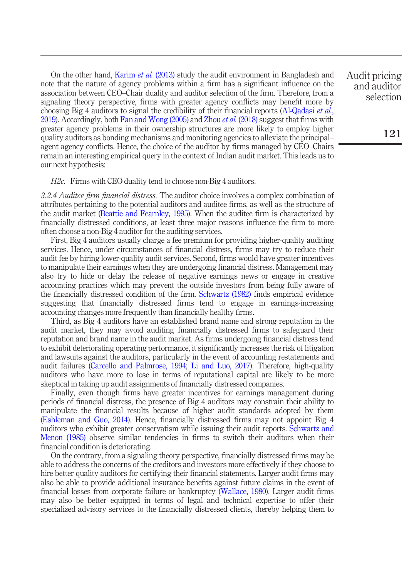On the other hand, Karim *et al.* (2013) study the audit environment in Bangladesh and note that the nature of agency problems within a firm has a significant influence on the association between CEO–Chair duality and auditor selection of the firm. Therefore, from a signaling theory perspective, firms with greater agency conflicts may benefit more by choosing Big 4 auditors to signal the credibility of their financial reports (Al-Qadasi *et al.*, 2019). Accordingly, both Fan and Wong (2005) and Zhou *et al.* (2018) suggest that firms with greater agency problems in their ownership structures are more likely to employ higher quality auditors as bonding mechanisms and monitoring agencies to alleviate the principal– agent agency conflicts. Hence, the choice of the auditor by firms managed by CEO–Chairs remain an interesting empirical query in the context of Indian audit market. This leads us to our next hypothesis:

# *H2c*. Firms with CEO duality tend to choose non-Big 4 auditors.

*3.2.4 Auditee* fi*rm* fi*nancial distress.* The auditor choice involves a complex combination of attributes pertaining to the potential auditors and auditee firms, as well as the structure of the audit market (Beattie and Fearnley, 1995). When the auditee firm is characterized by financially distressed conditions, at least three major reasons influence the firm to more often choose a non-Big 4 auditor for the auditing services.

First, Big 4 auditors usually charge a fee premium for providing higher-quality auditing services. Hence, under circumstances of financial distress, firms may try to reduce their audit fee by hiring lower-quality audit services. Second, firms would have greater incentives to manipulate their earnings when they are undergoing financial distress. Management may also try to hide or delay the release of negative earnings news or engage in creative accounting practices which may prevent the outside investors from being fully aware of the financially distressed condition of the firm. Schwartz (1982) finds empirical evidence suggesting that financially distressed firms tend to engage in earnings-increasing accounting changes more frequently than financially healthy firms.

Third, as Big 4 auditors have an established brand name and strong reputation in the audit market, they may avoid auditing financially distressed firms to safeguard their reputation and brand name in the audit market. As firms undergoing financial distress tend to exhibit deteriorating operating performance, it significantly increases the risk of litigation and lawsuits against the auditors, particularly in the event of accounting restatements and audit failures (Carcello and Palmrose, 1994; Li and Luo, 2017). Therefore, high-quality auditors who have more to lose in terms of reputational capital are likely to be more skeptical in taking up audit assignments of financially distressed companies.

Finally, even though firms have greater incentives for earnings management during periods of financial distress, the presence of Big 4 auditors may constrain their ability to manipulate the financial results because of higher audit standards adopted by them (Eshleman and Guo, 2014). Hence, financially distressed firms may not appoint Big 4 auditors who exhibit greater conservatism while issuing their audit reports. Schwartz and Menon (1985) observe similar tendencies in firms to switch their auditors when their financial condition is deteriorating.

On the contrary, from a signaling theory perspective, financially distressed firms may be able to address the concerns of the creditors and investors more effectively if they choose to hire better quality auditors for certifying their financial statements. Larger audit firms may also be able to provide additional insurance benefits against future claims in the event of financial losses from corporate failure or bankruptcy (Wallace, 1980). Larger audit firms may also be better equipped in terms of legal and technical expertise to offer their specialized advisory services to the financially distressed clients, thereby helping them to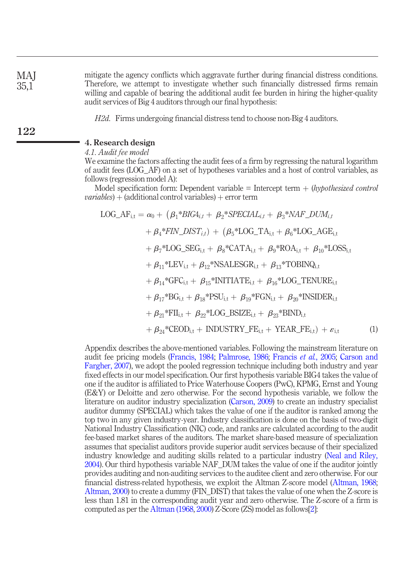mitigate the agency conflicts which aggravate further during financial distress conditions. Therefore, we attempt to investigate whether such financially distressed firms remain willing and capable of bearing the additional audit fee burden in hiring the higher-quality audit services of Big 4 auditors through our final hypothesis:

*H2d*. Firms undergoing financial distress tend to choose non-Big 4 auditors.

# 4. Research design

*4.1. Audit fee model*

We examine the factors affecting the audit fees of a firm by regressing the natural logarithm of audit fees (LOG\_AF) on a set of hypotheses variables and a host of control variables, as follows (regression model A):

Model specification form: Dependent variable  $=$  Intercept term  $+$  (*hypothesized control*  $variables$ ) + (additional control variables) + error term

LOG\_AF<sub>i,t</sub> = 
$$
\alpha_0 + (\beta_1 * BIG4_{i,t} + \beta_2 * SPECIAL_{i,t} + \beta_3 * NAF\_DUM_{i,t}
$$
  
+  $\beta_4 * FIN\_DIST_{i,t}) + (\beta_5 * LOG\_TA_{i,t} + \beta_6 * LOG\_AGE_{i,t}$   
+  $\beta_7 * LOG\_SEG_{i,t} + \beta_8 * CATA_{i,t} + \beta_9 * ROA_{i,t} + \beta_{10} * LOS_{i,t}$   
+  $\beta_{11} *LEV_{i,t} + \beta_{12} * NSALESGR_{i,t} + \beta_{13} * TOBING_{i,t}$   
+  $\beta_{14} * GFC_{i,t} + \beta_{15} * INTTIATE_{i,t} + \beta_{16} * LOG\_TENURE_{i,t}$   
+  $\beta_{17} * BG_{i,t} + \beta_{18} * PSU_{i,t} + \beta_{19} * FGN_{i,t} + \beta_{20} * INSIDER_{i,t}$   
+  $\beta_{21} * FII_{i,t} + \beta_{22} * LOG\_BSIZE_{i,t} + \beta_{23} * BIND_{i,t}$   
+  $\beta_{24} * CEOD_{i,t} + INDUSTRY\_FE_{i,t} + YEAR\_FE_{i,t}) + \varepsilon_{i,t}$  (1)

Appendix describes the above-mentioned variables. Following the mainstream literature on audit fee pricing models (Francis, 1984; Palmrose, 1986; Francis *et al.*, 2005; Carson and Fargher, 2007), we adopt the pooled regression technique including both industry and year fixed effects in our model specification. Our first hypothesis variable BIG4 takes the value of one if the auditor is affiliated to Price Waterhouse Coopers (PwC), KPMG, Ernst and Young (E&Y) or Deloitte and zero otherwise. For the second hypothesis variable, we follow the literature on auditor industry specialization (Carson, 2009) to create an industry specialist auditor dummy (SPECIAL) which takes the value of one if the auditor is ranked among the top two in any given industry-year. Industry classification is done on the basis of two-digit National Industry Classification (NIC) code, and ranks are calculated according to the audit fee-based market shares of the auditors. The market share-based measure of specialization assumes that specialist auditors provide superior audit services because of their specialized industry knowledge and auditing skills related to a particular industry (Neal and Riley, 2004). Our third hypothesis variable NAF\_DUM takes the value of one if the auditor jointly provides auditing and non-auditing services to the auditee client and zero otherwise. For our financial distress-related hypothesis, we exploit the Altman Z-score model (Altman, 1968; Altman, 2000) to create a dummy (FIN\_DIST) that takes the value of one when the Z-score is less than 1.81 in the corresponding audit year and zero otherwise. The Z-score of a firm is computed as per the Altman (1968, 2000) Z-Score (ZS) model as follows[2]: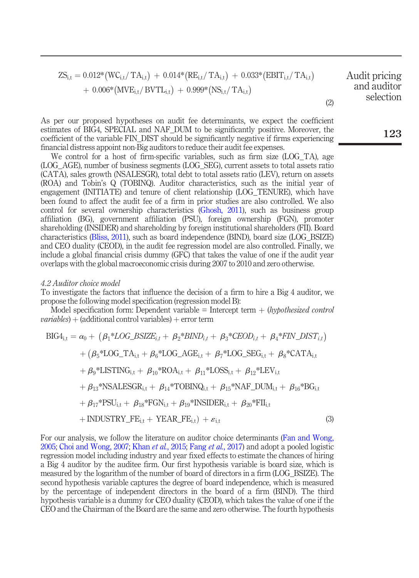$$
ZS_{i,t} = 0.012*(WC_{i,t}/TA_{i,t}) + 0.014*(RE_{i,t}/TA_{i,t}) + 0.033*(EBIT_{i,t}/TA_{i,t})
$$
   
 
$$
+ 0.006*(MVE_{i,t}/BVTL_{i,t}) + 0.999*(NS_{i,t}/TA_{i,t})
$$
   
 
$$
= 0.012*(WC_{i,t}/BVTL_{i,t}) + 0.999*(NS_{i,t}/TA_{i,t})
$$
   
 
$$
= 0.012*(MC_{i,t}/TA_{i,t}) + 0.014*(RE_{i,t}/TA_{i,t})
$$

As per our proposed hypotheses on audit fee determinants, we expect the coefficient estimates of BIG4, SPECIAL and NAF\_DUM to be significantly positive. Moreover, the coefficient of the variable FIN\_DIST should be significantly negative if firms experiencing financial distress appoint non-Big auditors to reduce their audit fee expenses.

We control for a host of firm-specific variables, such as firm size (LOG TA), age (LOG\_AGE), number of business segments (LOG\_SEG), current assets to total assets ratio (CATA), sales growth (NSALESGR), total debt to total assets ratio (LEV), return on assets (ROA) and Tobin's Q (TOBINQ). Auditor characteristics, such as the initial year of engagement (INITIATE) and tenure of client relationship (LOG\_TENURE), which have been found to affect the audit fee of a firm in prior studies are also controlled. We also control for several ownership characteristics (Ghosh, 2011), such as business group affiliation (BG), government affiliation (PSU), foreign ownership (FGN), promoter shareholding (INSIDER) and shareholding by foreign institutional shareholders (FII). Board characteristics (Bliss, 2011), such as board independence (BIND), board size (LOG\_BSIZE) and CEO duality (CEOD), in the audit fee regression model are also controlled. Finally, we include a global financial crisis dummy (GFC) that takes the value of one if the audit year overlaps with the global macroeconomic crisis during 2007 to 2010 and zero otherwise.

#### *4.2 Auditor choice model*

To investigate the factors that influence the decision of a firm to hire a Big 4 auditor, we propose the following model specification (regression model B):

Model specification form: Dependent variable = Intercept term + (*hypothesized control*)  $variables$ ) + (additional control variables) + error term

$$
BIG4_{i,t} = \alpha_0 + (\beta_1 * LOG\_BSIZE_{i,t} + \beta_2 * BIND_{i,t} + \beta_3 * CEOD_{i,t} + \beta_4 * FIN\_DIST_{i,t})
$$
  
+ (\beta\_5 \* LOG\\_TA\_{i,t} + \beta\_6 \* LOG\\_AGE\_{i,t} + \beta\_7 \* LOG\\_SEG\_{i,t} + \beta\_8 \* CATA\_{i,t}   
+ \beta\_9 \* LISTING\_{i,t} + \beta\_{10} \* ROA\_{i,t} + \beta\_{11} \* LOSS\_{i,t} + \beta\_{12} \* LEV\_{i,t}   
+ \beta\_{13} \* NSALESGR\_{i,t} + \beta\_{14} \* TOBING\_{i,t} + \beta\_{15} \* NAF\\_DUM\_{i,t} + \beta\_{16} \* BG\_{i,t}   
+ \beta\_{17} \* PSU\_{i,t} + \beta\_{18} \* FGN\_{i,t} + \beta\_{19} \* INSIDER\_{i,t} + \beta\_{20} \* FII\_{i,t}   
+ INDUSTRY\\_FE\_{i,t} + YEAR\\_FE\_{i,t}) + \varepsilon\_{i,t} (3)

For our analysis, we follow the literature on auditor choice determinants (Fan and Wong, 2005; Choi and Wong, 2007; Khan *et al.*, 2015; Fang *et al.*, 2017) and adopt a pooled logistic regression model including industry and year fixed effects to estimate the chances of hiring a Big 4 auditor by the auditee firm. Our first hypothesis variable is board size, which is measured by the logarithm of the number of board of directors in a firm (LOG\_BSIZE). The second hypothesis variable captures the degree of board independence, which is measured by the percentage of independent directors in the board of a firm (BIND). The third hypothesis variable is a dummy for CEO duality (CEOD), which takes the value of one if the CEO and the Chairman of the Board are the same and zero otherwise. The fourth hypothesis 123

(2)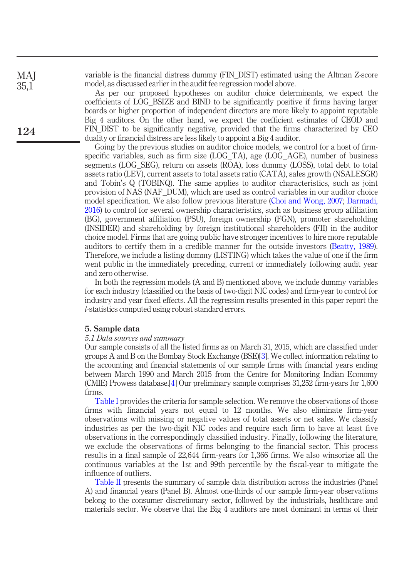MAJ 35,1

124

variable is the financial distress dummy (FIN\_DIST) estimated using the Altman Z-score model, as discussed earlier in the audit fee regression model above.

As per our proposed hypotheses on auditor choice determinants, we expect the coefficients of LOG\_BSIZE and BIND to be significantly positive if firms having larger boards or higher proportion of independent directors are more likely to appoint reputable Big 4 auditors. On the other hand, we expect the coefficient estimates of CEOD and FIN\_DIST to be significantly negative, provided that the firms characterized by CEO duality or financial distress are less likely to appoint a Big 4 auditor.

Going by the previous studies on auditor choice models, we control for a host of firmspecific variables, such as firm size (LOG\_TA), age (LOG\_AGE), number of business segments (LOG\_SEG), return on assets (ROA), loss dummy (LOSS), total debt to total assets ratio (LEV), current assets to total assets ratio (CATA), sales growth (NSALESGR) and Tobin's Q (TOBINQ). The same applies to auditor characteristics, such as joint provision of NAS (NAF\_DUM), which are used as control variables in our auditor choice model specification. We also follow previous literature (Choi and Wong, 2007; Darmadi, 2016) to control for several ownership characteristics, such as business group affiliation (BG), government affiliation (PSU), foreign ownership (FGN), promoter shareholding (INSIDER) and shareholding by foreign institutional shareholders (FII) in the auditor choice model. Firms that are going public have stronger incentives to hire more reputable auditors to certify them in a credible manner for the outside investors (Beatty, 1989). Therefore, we include a listing dummy (LISTING) which takes the value of one if the firm went public in the immediately preceding, current or immediately following audit year and zero otherwise.

In both the regression models (A and B) mentioned above, we include dummy variables for each industry (classified on the basis of two-digit NIC codes) and firm-year to control for industry and year fixed effects. All the regression results presented in this paper report the *t*-statistics computed using robust standard errors.

# 5. Sample data

# *5.1 Data sources and summary*

Our sample consists of all the listed firms as on March 31, 2015, which are classified under groups A and B on the Bombay Stock Exchange (BSE)[3]. We collect information relating to the accounting and financial statements of our sample firms with financial years ending between March 1990 and March 2015 from the Centre for Monitoring Indian Economy (CMIE) Prowess database.[4] Our preliminary sample comprises 31,252 firm-years for 1,600 firms.

Table I provides the criteria for sample selection. We remove the observations of those firms with financial years not equal to 12 months. We also eliminate firm-year observations with missing or negative values of total assets or net sales. We classify industries as per the two-digit NIC codes and require each firm to have at least five observations in the correspondingly classified industry. Finally, following the literature, we exclude the observations of firms belonging to the financial sector. This process results in a final sample of 22,644 firm-years for 1,366 firms. We also winsorize all the continuous variables at the 1st and 99th percentile by the fiscal-year to mitigate the influence of outliers.

Table II presents the summary of sample data distribution across the industries (Panel A) and financial years (Panel B). Almost one-thirds of our sample firm-year observations belong to the consumer discretionary sector, followed by the industrials, healthcare and materials sector. We observe that the Big 4 auditors are most dominant in terms of their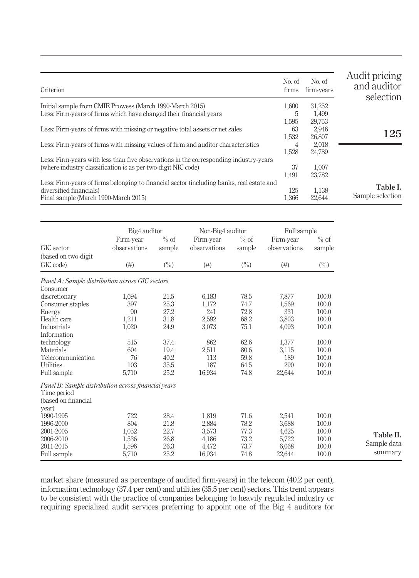| Criterion                                                                                 | No. of<br>firms | No. of<br>firm-years | Audit pricing<br>and auditor<br>selection |
|-------------------------------------------------------------------------------------------|-----------------|----------------------|-------------------------------------------|
| Initial sample from CMIE Prowess (March 1990-March 2015)                                  | 1,600           | 31,252               |                                           |
| Less: Firm-years of firms which have changed their financial years                        | 5               | 1.499                |                                           |
|                                                                                           | 1.595           | 29.753               |                                           |
| Less: Firm-years of firms with missing or negative total assets or net sales              | 63              | 2,946                |                                           |
|                                                                                           | 1,532           | 26,807               | 125                                       |
| Less: Firm-years of firms with missing values of firm and auditor characteristics         | 4               | 2.018                |                                           |
|                                                                                           | 1,528           | 24,789               |                                           |
| Less: Firm-years with less than five observations in the corresponding industry-years     |                 |                      |                                           |
| (where industry classification is as per two-digit NIC code)                              | 37              | 1.007                |                                           |
|                                                                                           | 1,491           | 23.782               |                                           |
| Less: Firm-years of firms belonging to financial sector (including banks, real estate and |                 |                      | Table I.                                  |
| diversified financials)                                                                   | 125             | 1,138                |                                           |
| Final sample (March 1990-March 2015)                                                      | 1,366           | 22,644               | Sample selection                          |

|                                                                                                    | Big4 auditor              |                  | Non-Big4 auditor          |                  | Full sample               |                  |
|----------------------------------------------------------------------------------------------------|---------------------------|------------------|---------------------------|------------------|---------------------------|------------------|
| GIC sector                                                                                         | Firm-year<br>observations | $%$ of<br>sample | Firm-year<br>observations | $%$ of<br>sample | Firm-year<br>observations | $%$ of<br>sample |
| (based on two-digit)<br>GIC code)                                                                  | (# )                      | $(\% )$          | (# )                      | $(\%)$           | $(\#)$                    | $(\%)$           |
| Panel A: Sample distribution across GIC sectors<br>Consumer                                        |                           |                  |                           |                  |                           |                  |
| discretionary                                                                                      | 1,694                     | 21.5             | 6,183                     | 78.5             | 7,877                     | 100.0            |
| Consumer staples                                                                                   | 397                       | 25.3             | 1,172                     | 74.7             | 1,569                     | 100.0            |
| Energy                                                                                             | 90                        | 27.2             | 241                       | 72.8             | 331                       | 100.0            |
| Health care                                                                                        | 1,211                     | 31.8             | 2,592                     | 68.2             | 3,803                     | 100.0            |
| Industrials                                                                                        | 1,020                     | 24.9             | 3,073                     | 75.1             | 4,093                     | 100.0            |
| Information                                                                                        |                           |                  |                           |                  |                           |                  |
| technology                                                                                         | 515                       | 37.4             | 862                       | 62.6             | 1,377                     | 100.0            |
| Materials                                                                                          | 604                       | 19.4             | 2,511                     | 80.6             | 3,115                     | 100.0            |
| Telecommunication                                                                                  | 76                        | 40.2             | 113                       | 59.8             | 189                       | 100.0            |
| Utilities                                                                                          | 103                       | 35.5             | 187                       | 64.5             | 290                       | 100.0            |
| Full sample                                                                                        | 5,710                     | 25.2             | 16,934                    | 74.8             | 22,644                    | 100.0            |
| Panel B: Sample distribution across financial years<br>Time period<br>(based on financial<br>year) |                           |                  |                           |                  |                           |                  |
| 1990-1995                                                                                          | 722                       | 28.4             | 1,819                     | 71.6             | 2,541                     | 100.0            |
| 1996-2000                                                                                          | 804                       | 21.8             | 2,884                     | 78.2             | 3,688                     | 100.0            |
| 2001-2005                                                                                          | 1,052                     | 22.7             | 3,573                     | 77.3             | 4,625                     | 100.0            |
| 2006-2010                                                                                          | 1,536                     | 26.8             | 4,186                     | 73.2             | 5,722                     | 100.0            |
| 2011-2015                                                                                          | 1,596                     | 26.3             | 4,472                     | 73.7             | 6,068                     | 100.0            |
| Full sample                                                                                        | 5,710                     | 25.2             | 16,934                    | 74.8             | 22,644                    | 100.0            |

market share (measured as percentage of audited firm-years) in the telecom (40.2 per cent), information technology (37.4 per cent) and utilities (35.5 per cent) sectors. This trend appears to be consistent with the practice of companies belonging to heavily regulated industry or requiring specialized audit services preferring to appoint one of the Big 4 auditors for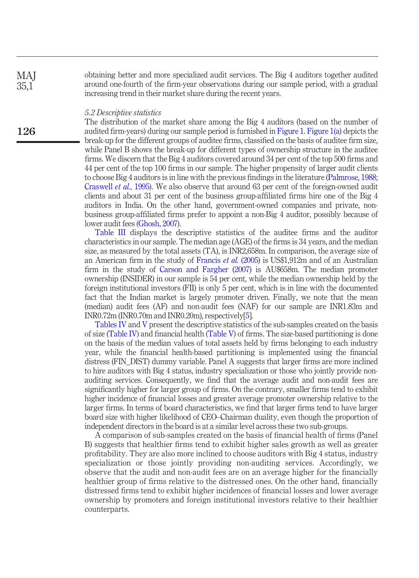obtaining better and more specialized audit services. The Big 4 auditors together audited around one-fourth of the firm-year observations during our sample period, with a gradual increasing trend in their market share during the recent years.

#### *5.2 Descriptive statistics*

The distribution of the market share among the Big 4 auditors (based on the number of audited firm-years) during our sample period is furnished in Figure 1. Figure 1(a) depicts the break-up for the different groups of auditee firms, classified on the basis of auditee firm size, while Panel B shows the break-up for different types of ownership structure in the auditee firms. We discern that the Big 4 auditors covered around 34 per cent of the top 500 firms and 44 per cent of the top 100 firms in our sample. The higher propensity of larger audit clients to choose Big 4 auditors is in line with the previous findings in the literature (Palmrose, 1988; Craswell *et al.*, 1995). We also observe that around 63 per cent of the foreign-owned audit clients and about 31 per cent of the business group-affiliated firms hire one of the Big 4 auditors in India. On the other hand, government-owned companies and private, nonbusiness group-affiliated firms prefer to appoint a non-Big 4 auditor, possibly because of lower audit fees (Ghosh, 2007).

Table III displays the descriptive statistics of the auditee firms and the auditor characteristics in our sample. The median age (AGE) of the firms is 34 years, and the median size, as measured by the total assets (TA), is INR2,658m. In comparison, the average size of an American firm in the study of Francis *et al.* (2005) is US\$1,912m and of an Australian firm in the study of Carson and Fargher (2007) is AU\$658m. The median promoter ownership (INSIDER) in our sample is 54 per cent, while the median ownership held by the foreign institutional investors (FII) is only 5 per cent, which is in line with the documented fact that the Indian market is largely promoter driven. Finally, we note that the mean (median) audit fees (AF) and non-audit fees (NAF) for our sample are INR1.83m and INR0.72m (INR0.70m and INR0.20m), respectively[5].

Tables IV and V present the descriptive statistics of the sub-samples created on the basis of size (Table IV) and financial health (Table V) of firms. The size-based partitioning is done on the basis of the median values of total assets held by firms belonging to each industry year, while the financial health-based partitioning is implemented using the financial distress (FIN\_DIST) dummy variable. Panel A suggests that larger firms are more inclined to hire auditors with Big 4 status, industry specialization or those who jointly provide nonauditing services. Consequently, we find that the average audit and non-audit fees are significantly higher for larger group of firms. On the contrary, smaller firms tend to exhibit higher incidence of financial losses and greater average promoter ownership relative to the larger firms. In terms of board characteristics, we find that larger firms tend to have larger board size with higher likelihood of CEO–Chairman duality, even though the proportion of independent directors in the board is at a similar level across these two sub-groups.

A comparison of sub-samples created on the basis of financial health of firms (Panel B) suggests that healthier firms tend to exhibit higher sales growth as well as greater profitability. They are also more inclined to choose auditors with Big 4 status, industry specialization or those jointly providing non-auditing services. Accordingly, we observe that the audit and non-audit fees are on an average higher for the financially healthier group of firms relative to the distressed ones. On the other hand, financially distressed firms tend to exhibit higher incidences of financial losses and lower average ownership by promoters and foreign institutional investors relative to their healthier counterparts.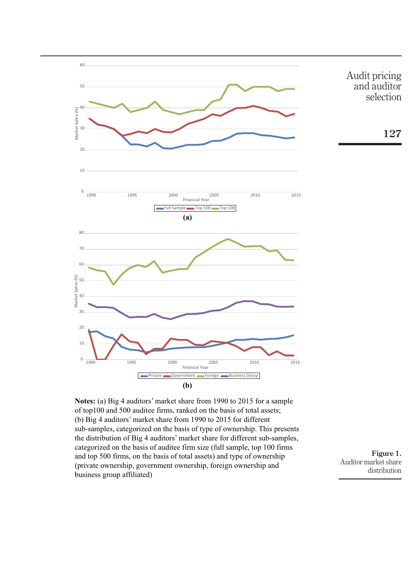

**Notes:** (a) Big 4 auditors' market share from 1990 to 2015 for a sample of top100 and 500 auditee firms, ranked on the basis of total assets; (b) Big 4 auditors' market share from 1990 to 2015 for different sub-samples, categorized on the basis of type of ownership. This presents the distribution of Big 4 auditors' market share for different sub-samples, categorized on the basis of auditee firm size (full sample, top 100 firms and top 500 firms, on the basis of total assets) and type of ownership (private ownership, government ownership, foreign ownership and business group affiliated)

Figure 1. Auditor market share distribution

127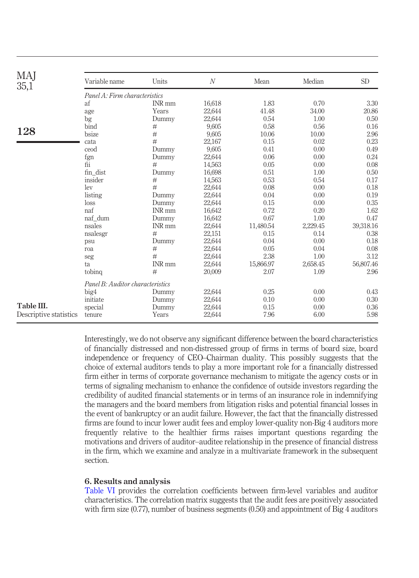| MAJ<br>35,1            | Variable name                    | Units         | $\mathcal N$ | Mean      | Median   | <b>SD</b> |
|------------------------|----------------------------------|---------------|--------------|-----------|----------|-----------|
|                        | Panel A: Firm characteristics    |               |              |           |          |           |
|                        | af                               | INR mm        | 16,618       | 1.83      | 0.70     | 3.30      |
|                        | age                              | Years         | 22,644       | 41.48     | 34.00    | 20.86     |
|                        | bg                               | Dummy         | 22,644       | 0.54      | 1.00     | 0.50      |
|                        | bind                             | $\#$          | 9,605        | 0.58      | 0.56     | 0.16      |
| 128                    | bsize                            | $\#$          | 9,605        | 10.06     | 10.00    | 2.96      |
|                        | cata                             | #             | 22,167       | 0.15      | 0.02     | 0.23      |
|                        | ceod                             | Dummy         | 9,605        | 0.41      | 0.00     | 0.49      |
|                        | fgn                              | Dummy         | 22,644       | 0.06      | 0.00     | 0.24      |
|                        | fii                              | #             | 14,563       | 0.05      | 0.00     | 0.08      |
|                        | fin dist                         | Dummy         | 16,698       | 0.51      | 1.00     | 0.50      |
|                        | insider                          | $\#$          | 14,563       | 0.53      | 0.54     | 0.17      |
|                        | lev                              | #             | 22,644       | 0.08      | 0.00     | 0.18      |
|                        | listing                          | Dummy         | 22,644       | 0.04      | 0.00     | 0.19      |
|                        | loss                             | Dummy         | 22,644       | 0.15      | 0.00     | 0.35      |
|                        | naf                              | <b>INR</b> mm | 16,642       | 0.72      | 0.20     | 1.62      |
|                        | naf dum                          | Dummy         | 16,642       | 0.67      | 1.00     | 0.47      |
|                        | nsales                           | INR mm        | 22,644       | 11,480.54 | 2,229.45 | 39,318.16 |
|                        | nsalesgr                         | $\#$          | 22,151       | 0.15      | 0.14     | 0.38      |
|                        | psu                              | Dummy         | 22,644       | 0.04      | 0.00     | 0.18      |
|                        | roa                              | $\#$          | 22,644       | 0.05      | 0.04     | 0.08      |
|                        | seg                              | $\#$          | 22,644       | 2.38      | 1.00     | 3.12      |
|                        | ta                               | INR mm        | 22,644       | 15,866.97 | 2,658.45 | 56,807.46 |
|                        | tobing                           | #             | 20,009       | 2.07      | 1.09     | 2.96      |
|                        | Panel B: Auditor characteristics |               |              |           |          |           |
|                        | big4                             | Dummy         | 22,644       | 0.25      | 0.00     | 0.43      |
|                        | initiate                         | Dummy         | 22,644       | 0.10      | 0.00     | 0.30      |
| Table III.             | special                          | Dummy         | 22,644       | 0.15      | 0.00     | 0.36      |
| Descriptive statistics | tenure                           | Years         | 22,644       | 7.96      | 6.00     | 5.98      |

Interestingly, we do not observe any significant difference between the board characteristics of financially distressed and non-distressed group of firms in terms of board size, board independence or frequency of CEO–Chairman duality. This possibly suggests that the choice of external auditors tends to play a more important role for a financially distressed firm either in terms of corporate governance mechanism to mitigate the agency costs or in terms of signaling mechanism to enhance the confidence of outside investors regarding the credibility of audited financial statements or in terms of an insurance role in indemnifying the managers and the board members from litigation risks and potential financial losses in the event of bankruptcy or an audit failure. However, the fact that the financially distressed firms are found to incur lower audit fees and employ lower-quality non-Big 4 auditors more frequently relative to the healthier firms raises important questions regarding the motivations and drivers of auditor–auditee relationship in the presence of financial distress in the firm, which we examine and analyze in a multivariate framework in the subsequent section.

# 6. Results and analysis

Table VI provides the correlation coefficients between firm-level variables and auditor characteristics. The correlation matrix suggests that the audit fees are positively associated with firm size (0.77), number of business segments (0.50) and appointment of Big 4 auditors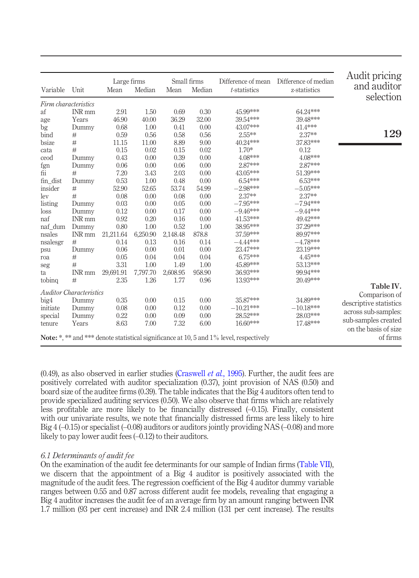| Variable             | Unit                           | Large firms<br>Mean | Median       | Small firms<br>Mean | Median       | Difference of mean<br>t-statistics                                                             | Difference of median<br>z-statistics | Audit pricing<br>and auditor<br>selection |
|----------------------|--------------------------------|---------------------|--------------|---------------------|--------------|------------------------------------------------------------------------------------------------|--------------------------------------|-------------------------------------------|
| Firm characteristics |                                |                     |              |                     |              |                                                                                                |                                      |                                           |
| af                   | INR mm                         | 2.91                | 1.50         | 0.69                | 0.30         | 45.99***                                                                                       | 64.24***                             |                                           |
| age                  | Years                          | 46.90               | 40.00        | 36.29               | 32.00        | 39.54***                                                                                       | 39.48***                             |                                           |
| bg                   | Dummy                          | 0.68                | 1.00         | 0.41                | 0.00         | 43.07***                                                                                       | 41.4***                              |                                           |
| bind                 | #                              | 0.59                | 0.56         | 0.58                | 0.56         | $2.55***$                                                                                      | 2.37**                               | 129                                       |
| bsize                | #                              | 11.15               | 11.00        | 8.89                | 9.00         | 40.24***                                                                                       | 37.83***                             |                                           |
| cata                 | #                              | 0.15                | 0.02         | 0.15                | 0.02         | $1.70*$                                                                                        | 0.12                                 |                                           |
| ceod                 | Dummy                          | 0.43                | 0.00         | 0.39                | 0.00         | 4.08***                                                                                        | 4.08***                              |                                           |
| fgn                  | Dummy                          | 0.06                | 0.00         | 0.06                | 0.00         | 2.87***                                                                                        | 2.87***                              |                                           |
| fii                  | #                              | 7.20                | 3.43         | 2.03                | 0.00         | 43.05***                                                                                       | 51.39***                             |                                           |
| fin_dist             | Dummy                          | 0.53                | 1.00         | 0.48                | 0.00         | 6.54***                                                                                        | 6.53***                              |                                           |
| insider              | $\#$                           | 52.90               | 52.65        | 53.74               | 54.99        | $-2.98***$                                                                                     | $-5.05***$                           |                                           |
| lev                  | #                              | 0.08                | 0.00         | 0.08                | 0.00         | 2.37**                                                                                         | 2.37**                               |                                           |
| listing              | Dummy                          | 0.03                | 0.00         | 0.05                | 0.00         | $-7.95***$                                                                                     | $-7.94***$                           |                                           |
| loss                 | Dummy                          | 0.12                | 0.00         | 0.17                | 0.00         | $-9.46***$                                                                                     | $-9.44***$                           |                                           |
| naf                  | INR mm                         | 0.92                | 0.20         | 0.16                | 0.00         | 41.53***                                                                                       | 49.42***                             |                                           |
| naf_dum              | Dummy                          | 0.80                | 1.00         | 0.52                | 1.00         | 38.95***                                                                                       | 37.29***                             |                                           |
| nsales               | INR mm                         | 21,211.64           | 6,250.90     | 2,148.48            | 878.8        | 37.59***                                                                                       | 89.97***                             |                                           |
| nsalesgr             | #                              | 0.14                | 0.13         | 0.16                | 0.14         | $-4.44***$                                                                                     | $-4.78***$                           |                                           |
| psu                  | Dummy                          | 0.06                | 0.00         | 0.01                | 0.00         | 23.47***                                                                                       | 23.19***                             |                                           |
| roa                  | #                              | 0.05                | 0.04         | 0.04                | 0.04         | 6.75***                                                                                        | 4.45***                              |                                           |
| seg                  | #                              | 3.31                | 1.00         | 1.49                | 1.00         | 45.89***                                                                                       | 53.13***                             |                                           |
| ta                   | INR mm                         | 29,691.91           | 7,797.70     | 2,608.95            | 958.90       | 36.93***                                                                                       | 99.94***                             |                                           |
| tobing               | #                              | 2.35                | 1.26         | 1.77                | 0.96         | 13.93***                                                                                       | 20.49***                             |                                           |
|                      | <b>Auditor Characteristics</b> |                     |              |                     |              |                                                                                                |                                      | Table IV.                                 |
|                      | Dummy                          | 0.35                | 0.00         | 0.15                | 0.00         | 35.87***                                                                                       | 34.89***                             | Comparison of                             |
| big4<br>initiate     |                                | 0.08                | 0.00         | 0.12                | 0.00         | $-10.21***$                                                                                    | $-10.18***$                          | descriptive statistics                    |
|                      | Dummy                          | 0.22                |              |                     |              | 28.52***                                                                                       | 28.03***                             | across sub-samples:                       |
| special              | Dummy<br>Years                 | 8.63                | 0.00<br>7.00 | 0.09<br>7.32        | 0.00<br>6.00 | $16.60***$                                                                                     | 17.48***                             | sub-samples created                       |
| tenure               |                                |                     |              |                     |              |                                                                                                |                                      | on the basis of size                      |
|                      |                                |                     |              |                     |              | <b>Note:</b> *, ** and *** denote statistical significance at 10, 5 and 1% level, respectively |                                      | of firms                                  |

(0.49), as also observed in earlier studies (Craswell *et al.*, 1995). Further, the audit fees are positively correlated with auditor specialization (0.37), joint provision of NAS (0.50) and board size of the auditee firms (0.39). The table indicates that the Big 4 auditors often tend to provide specialized auditing services (0.50). We also observe that firms which are relatively less profitable are more likely to be financially distressed (–0.15). Finally, consistent with our univariate results, we note that financially distressed firms are less likely to hire Big 4 (–0.15) or specialist (–0.08) auditors or auditors jointly providing NAS (–0.08) and more likely to pay lower audit fees (–0.12) to their auditors.

# *6.1 Determinants of audit fee*

On the examination of the audit fee determinants for our sample of Indian firms (Table VII), we discern that the appointment of a Big 4 auditor is positively associated with the magnitude of the audit fees. The regression coefficient of the Big 4 auditor dummy variable ranges between 0.55 and 0.87 across different audit fee models, revealing that engaging a Big 4 auditor increases the audit fee of an average firm by an amount ranging between INR 1.7 million (93 per cent increase) and INR 2.4 million (131 per cent increase). The results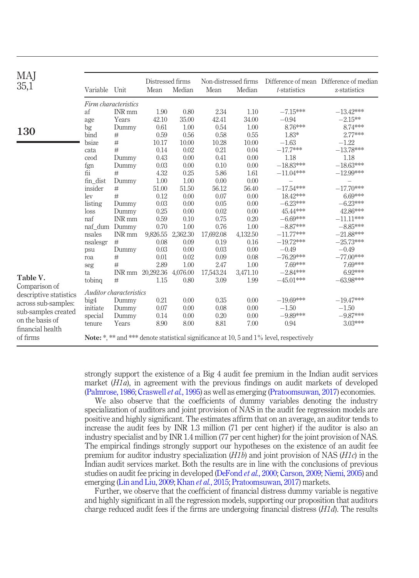| MAJ<br>35,1                                                                                              | Variable Unit                                                                                                                                                                                                    |                                                                                                                                                                                                                                                               | Distressed firms<br>Mean                                                                                                                                                                                                        | Median                                                                                                                                                                                                                  | Non-distressed firms<br>Mean                                                                                                                                                                                              |                                                                                                                                                                                                                                   | t-statistics                                                                                                                                                                                                                                                                                                                      | Difference of mean Difference of median<br>z-statistics                                                                                                                                                                                                                                                                              |
|----------------------------------------------------------------------------------------------------------|------------------------------------------------------------------------------------------------------------------------------------------------------------------------------------------------------------------|---------------------------------------------------------------------------------------------------------------------------------------------------------------------------------------------------------------------------------------------------------------|---------------------------------------------------------------------------------------------------------------------------------------------------------------------------------------------------------------------------------|-------------------------------------------------------------------------------------------------------------------------------------------------------------------------------------------------------------------------|---------------------------------------------------------------------------------------------------------------------------------------------------------------------------------------------------------------------------|-----------------------------------------------------------------------------------------------------------------------------------------------------------------------------------------------------------------------------------|-----------------------------------------------------------------------------------------------------------------------------------------------------------------------------------------------------------------------------------------------------------------------------------------------------------------------------------|--------------------------------------------------------------------------------------------------------------------------------------------------------------------------------------------------------------------------------------------------------------------------------------------------------------------------------------|
| 130<br>Table V.<br>Comparison of<br>descriptive statistics<br>across sub-samples:<br>sub-samples created | af<br>age<br>bg<br>bind<br>bsize<br>cata<br>ceod<br>fgn<br>fii<br>fin dist<br>insider<br>lev<br>listing<br>loss<br>naf<br>nsales<br>nsalesgr<br>psu<br>roa<br>seg<br>ta<br>tobing<br>big4<br>initiate<br>special | Firm characteristics<br>INR mm<br>Years<br>Dummy<br>#<br>$\#$<br>#<br>Dummy<br>Dummy<br>#<br>Dummy<br>#<br>#<br>Dummy<br>Dummy<br><b>INR</b> mm<br>naf_dum Dummy<br>INR mm<br>#<br>Dummy<br>#<br>#<br>#<br>Auditor characteristics<br>Dummy<br>Dummy<br>Dummy | 1.90<br>42.10<br>0.61<br>0.59<br>10.17<br>0.14<br>0.43<br>0.03<br>4.32<br>1.00<br>51.00<br>0.12<br>0.03<br>0.25<br>0.59<br>0.70<br>9,826.55<br>0.08<br>0.03<br>0.01<br>2.89<br>INR mm 20,292.36<br>1.15<br>0.21<br>0.07<br>0.14 | 0.80<br>35.00<br>1.00<br>0.56<br>10.00<br>0.02<br>0.00<br>0.00<br>0.25<br>1.00<br>51.50<br>0.00<br>0.00<br>0.00<br>0.10<br>1.00<br>2,362.30<br>0.09<br>0.00<br>0.02<br>1.00<br>4,076.00<br>0.80<br>0.00<br>0.00<br>0.00 | 2.34<br>42.41<br>0.54<br>0.58<br>10.28<br>0.21<br>0.41<br>0.10<br>5.86<br>0.00<br>56.12<br>0.07<br>0.05<br>0.02<br>0.75<br>0.76<br>17,692.08<br>0.19<br>0.03<br>0.09<br>2.47<br>17,543.24<br>3.09<br>0.35<br>0.08<br>0.20 | Median<br>1.10<br>34.00<br>1.00<br>0.55<br>10.00<br>0.04<br>0.00<br>0.00<br>1.61<br>0.00<br>56.40<br>0.00<br>0.00<br>0.00<br>0.20<br>1.00<br>4,132.50<br>0.16<br>0.00<br>0.08<br>1.00<br>3,471.10<br>1.99<br>0.00<br>0.00<br>0.00 | $-7.15***$<br>$-0.94$<br>8.76***<br>1.83*<br>$-1.63$<br>$-17.7***$<br>1.18<br>$-18.83***$<br>$-11.04***$<br>$-17.54***$<br>18.42***<br>$-6.23***$<br>45.44***<br>$-6.69***$<br>$-8.87***$<br>$-11.77***$<br>$-19.72***$<br>$-0.49$<br>$-76.29***$<br>7.69***<br>$-2.84***$<br>$-45.01***$<br>$-19.69***$<br>$-1.50$<br>$-9.89***$ | $-13.42***$<br>$-2.15**$<br>8.74***<br>2.77***<br>$-1.22$<br>$-13.78***$<br>1.18<br>$-18.63***$<br>$-12.99***$<br>$-17.70***$<br>6.69***<br>$-6.23***$<br>42.86***<br>$-11.11***$<br>$-8.85***$<br>$-21.88***$<br>$-25.73***$<br>$-0.49$<br>$-77.00***$<br>7.69***<br>6.92***<br>$-63.98***$<br>$-19.47***$<br>$-1.50$<br>$-9.87***$ |
| on the basis of<br>financial health<br>of firms                                                          | tenure                                                                                                                                                                                                           | Years                                                                                                                                                                                                                                                         | 8.90                                                                                                                                                                                                                            | 8.00                                                                                                                                                                                                                    | 8.81                                                                                                                                                                                                                      | 7.00                                                                                                                                                                                                                              | 0.94<br><b>Note:</b> *, ** and *** denote statistical significance at 10, 5 and 1% level, respectively                                                                                                                                                                                                                            | 3.03***                                                                                                                                                                                                                                                                                                                              |

strongly support the existence of a Big 4 audit fee premium in the Indian audit services market (*H1a*), in agreement with the previous findings on audit markets of developed (Palmrose, 1986; Craswell *et al.*, 1995) as well as emerging (Pratoomsuwan, 2017) economies.

We also observe that the coefficients of dummy variables denoting the industry specialization of auditors and joint provision of NAS in the audit fee regression models are positive and highly significant. The estimates affirm that on an average, an auditor tends to increase the audit fees by INR 1.3 million (71 per cent higher) if the auditor is also an industry specialist and by INR 1.4 million (77 per cent higher) for the joint provision of NAS. The empirical findings strongly support our hypotheses on the existence of an audit fee premium for auditor industry specialization (*H1b*) and joint provision of NAS (*H1c*) in the Indian audit services market. Both the results are in line with the conclusions of previous studies on audit fee pricing in developed (DeFond *et al.*, 2000; Carson, 2009; Niemi, 2005) and emerging (Lin and Liu, 2009; Khan *et al.*, 2015; Pratoomsuwan, 2017) markets.

Further, we observe that the coefficient of financial distress dummy variable is negative and highly significant in all the regression models, supporting our proposition that auditors charge reduced audit fees if the firms are undergoing financial distress (*H1d*). The results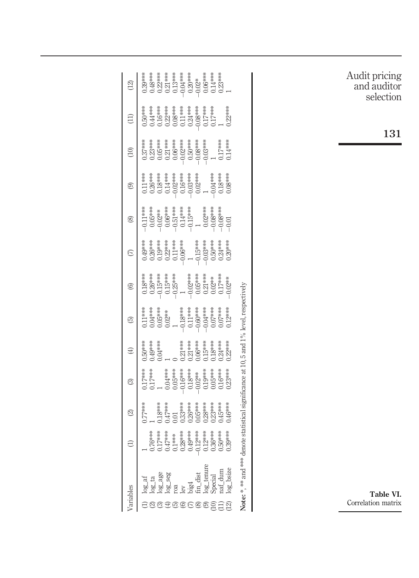| ariables |                                            | $\ominus$ | $\widehat{\infty}$ | $\widehat{\odot}$                    | $\oplus$                                                                                                | $\widehat{\mathbb{G}}$                                                                                                                                                                                                                                                                                                                                                                                                                      |  | $\circledcirc$                                                                                                                                                                                                                                                                                                                                                                                                                                                                                           | ම                                                                                                                                                                                                                                                                                                                                                                                                                                      | $\widehat{c}$ | $\left( \begin{matrix} 11 \ 1 \end{matrix} \right)$ | $\left(\frac{1}{2}\right)$ |
|----------|--------------------------------------------|-----------|--------------------|--------------------------------------|---------------------------------------------------------------------------------------------------------|---------------------------------------------------------------------------------------------------------------------------------------------------------------------------------------------------------------------------------------------------------------------------------------------------------------------------------------------------------------------------------------------------------------------------------------------|--|----------------------------------------------------------------------------------------------------------------------------------------------------------------------------------------------------------------------------------------------------------------------------------------------------------------------------------------------------------------------------------------------------------------------------------------------------------------------------------------------------------|----------------------------------------------------------------------------------------------------------------------------------------------------------------------------------------------------------------------------------------------------------------------------------------------------------------------------------------------------------------------------------------------------------------------------------------|---------------|-----------------------------------------------------|----------------------------|
|          |                                            |           |                    |                                      |                                                                                                         |                                                                                                                                                                                                                                                                                                                                                                                                                                             |  |                                                                                                                                                                                                                                                                                                                                                                                                                                                                                                          |                                                                                                                                                                                                                                                                                                                                                                                                                                        |               |                                                     |                            |
|          |                                            |           |                    |                                      |                                                                                                         |                                                                                                                                                                                                                                                                                                                                                                                                                                             |  |                                                                                                                                                                                                                                                                                                                                                                                                                                                                                                          |                                                                                                                                                                                                                                                                                                                                                                                                                                        |               |                                                     |                            |
|          |                                            |           |                    |                                      |                                                                                                         |                                                                                                                                                                                                                                                                                                                                                                                                                                             |  |                                                                                                                                                                                                                                                                                                                                                                                                                                                                                                          |                                                                                                                                                                                                                                                                                                                                                                                                                                        |               |                                                     |                            |
|          |                                            |           |                    |                                      | ),50***<br>),49***<br>),04****<br>1                                                                     | $\begin{array}{l} 0.11\overset{***}{\leadsto} \\ 0.04\overset{***}{\leadsto} \\ 0.05\overset{***}{\leadsto} \\ 0.05\overset{***}{\leadsto} \\ -1.04\overset{***}{\leadsto} \\ 0.05\overset{***}{\leadsto} \\ 0.05\overset{***}{\leadsto} \\ 0.05\overset{***}{\leadsto} \\ 0.006\overset{***}{\leadsto} \\ 0.000\overset{***}{\leadsto} \\ 0.000\overset{***}{\leadsto} \\ 0.000\overset{***}{\leadsto} \\ 0.000\overset{***}{\leadsto} \\$ |  | $\begin{array}{l} \begin{array}{cccccccccccccc} \text{***} & \text{***} & \text{***} & \text{***} & \text{***} & \text{***} & \text{***} & \text{***} & \text{***} & \text{***} & \text{***} & \text{***} & \text{***} & \text{***} & \text{***} & \text{***} & \text{***} & \text{***} & \text{***} & \text{***} & \text{***} & \text{***} & \text{***} & \text{***} & \text{***} & \text{***} & \text{***} & \text{***} & \text{***} & \text{***} & \text{***} & \text{***} & \text{***} & \text{***}$ | $\begin{array}{cccc}\n & \text{if } 1 & \text{if } 1 & \text{if } 1 & \text{if } 1 & \text{if } 1 & \text{if } 1 & \text{if } 1 & \text{if } 1 & \text{if } 1 & \text{if } 1 & \text{if } 1 & \text{if } 1 & \text{if } 1 & \text{if } 1 & \text{if } 1 & \text{if } 1 & \text{if } 1 & \text{if } 1 & \text{if } 1 & \text{if } 1 & \text{if } 1 & \text{if } 1 & \text{if } 1 & \text{if } 1 & \text{if } 1 & \text{if } 1 & \text{$ |               |                                                     |                            |
|          |                                            |           |                    |                                      |                                                                                                         |                                                                                                                                                                                                                                                                                                                                                                                                                                             |  |                                                                                                                                                                                                                                                                                                                                                                                                                                                                                                          |                                                                                                                                                                                                                                                                                                                                                                                                                                        |               |                                                     |                            |
|          |                                            |           |                    |                                      |                                                                                                         |                                                                                                                                                                                                                                                                                                                                                                                                                                             |  |                                                                                                                                                                                                                                                                                                                                                                                                                                                                                                          |                                                                                                                                                                                                                                                                                                                                                                                                                                        |               |                                                     |                            |
|          |                                            |           |                    |                                      |                                                                                                         |                                                                                                                                                                                                                                                                                                                                                                                                                                             |  |                                                                                                                                                                                                                                                                                                                                                                                                                                                                                                          |                                                                                                                                                                                                                                                                                                                                                                                                                                        |               |                                                     |                            |
|          |                                            |           |                    |                                      |                                                                                                         |                                                                                                                                                                                                                                                                                                                                                                                                                                             |  |                                                                                                                                                                                                                                                                                                                                                                                                                                                                                                          |                                                                                                                                                                                                                                                                                                                                                                                                                                        |               |                                                     |                            |
| පෙවෙන    |                                            |           |                    |                                      | $\begin{array}{c} 0 \\ 0.21***\\ 0.01***\\ 0.06***\\ 0.18***\\ 0.18***\\ 0.24***\\ 0.22*** \end{array}$ |                                                                                                                                                                                                                                                                                                                                                                                                                                             |  |                                                                                                                                                                                                                                                                                                                                                                                                                                                                                                          |                                                                                                                                                                                                                                                                                                                                                                                                                                        |               |                                                     |                            |
|          | $\frac{m\_dist}{\log_2 t_{\text{enure}}}.$ |           |                    |                                      |                                                                                                         |                                                                                                                                                                                                                                                                                                                                                                                                                                             |  |                                                                                                                                                                                                                                                                                                                                                                                                                                                                                                          |                                                                                                                                                                                                                                                                                                                                                                                                                                        |               |                                                     |                            |
|          |                                            |           |                    |                                      |                                                                                                         |                                                                                                                                                                                                                                                                                                                                                                                                                                             |  |                                                                                                                                                                                                                                                                                                                                                                                                                                                                                                          |                                                                                                                                                                                                                                                                                                                                                                                                                                        |               |                                                     |                            |
|          |                                            |           |                    |                                      |                                                                                                         |                                                                                                                                                                                                                                                                                                                                                                                                                                             |  |                                                                                                                                                                                                                                                                                                                                                                                                                                                                                                          |                                                                                                                                                                                                                                                                                                                                                                                                                                        |               |                                                     |                            |
|          | Special<br>naf_dum<br>og_bsize             |           |                    |                                      |                                                                                                         |                                                                                                                                                                                                                                                                                                                                                                                                                                             |  |                                                                                                                                                                                                                                                                                                                                                                                                                                                                                                          |                                                                                                                                                                                                                                                                                                                                                                                                                                        |               |                                                     |                            |
|          | Vote: *** *.*                              |           |                    | lenote statistical significance at 1 | $0,5$ and $1\%$                                                                                         | level, respectively                                                                                                                                                                                                                                                                                                                                                                                                                         |  |                                                                                                                                                                                                                                                                                                                                                                                                                                                                                                          |                                                                                                                                                                                                                                                                                                                                                                                                                                        |               |                                                     |                            |
|          |                                            |           |                    |                                      |                                                                                                         |                                                                                                                                                                                                                                                                                                                                                                                                                                             |  |                                                                                                                                                                                                                                                                                                                                                                                                                                                                                                          |                                                                                                                                                                                                                                                                                                                                                                                                                                        |               |                                                     |                            |
|          |                                            |           |                    |                                      |                                                                                                         |                                                                                                                                                                                                                                                                                                                                                                                                                                             |  |                                                                                                                                                                                                                                                                                                                                                                                                                                                                                                          |                                                                                                                                                                                                                                                                                                                                                                                                                                        |               |                                                     |                            |

Audit pricing and auditor selection

131

Table VI. Correlation matrix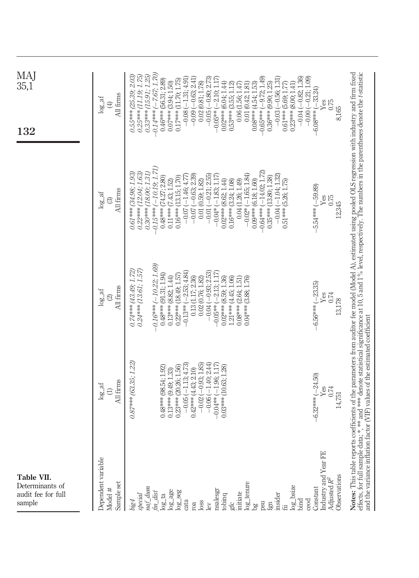| Table VII.<br>Determinants of<br>audit fee for full<br>sample                                                                                                                                                                                                                                                                                   |                                                                                                                                                                                                                                                                                                           |                                                                                                                                                                                                                                                                                                                                                                                                                                           |                                                                                                                                                                                                                                                                                                                                                                                                                                                                                                                                                                                            | MAJ<br>35,1<br>132                                                                                                                                                                                                                                                                                                                                                                                                                                                                                                                                                                                                                                                                           |
|-------------------------------------------------------------------------------------------------------------------------------------------------------------------------------------------------------------------------------------------------------------------------------------------------------------------------------------------------|-----------------------------------------------------------------------------------------------------------------------------------------------------------------------------------------------------------------------------------------------------------------------------------------------------------|-------------------------------------------------------------------------------------------------------------------------------------------------------------------------------------------------------------------------------------------------------------------------------------------------------------------------------------------------------------------------------------------------------------------------------------------|--------------------------------------------------------------------------------------------------------------------------------------------------------------------------------------------------------------------------------------------------------------------------------------------------------------------------------------------------------------------------------------------------------------------------------------------------------------------------------------------------------------------------------------------------------------------------------------------|----------------------------------------------------------------------------------------------------------------------------------------------------------------------------------------------------------------------------------------------------------------------------------------------------------------------------------------------------------------------------------------------------------------------------------------------------------------------------------------------------------------------------------------------------------------------------------------------------------------------------------------------------------------------------------------------|
| Dependent variable<br>Sample set<br>Model #                                                                                                                                                                                                                                                                                                     | All firms<br>$log_{2}$ af                                                                                                                                                                                                                                                                                 | All firms<br>$\log_2$ af                                                                                                                                                                                                                                                                                                                                                                                                                  | All firms<br>$log\_at$<br>ි                                                                                                                                                                                                                                                                                                                                                                                                                                                                                                                                                                | All firms<br>$log_2$ af<br>$\bigoplus$                                                                                                                                                                                                                                                                                                                                                                                                                                                                                                                                                                                                                                                       |
| Industry and Year FE<br>Observations<br>Adjusted $R^2$<br>log_tenure<br>log_bsize<br>Constant<br>$\begin{array}{l} \frac{m f\_d u m}{f m\_dist} \\ \log\_ \tan \end{array}$<br>nsalesgr<br>$log_2$ age<br>$log\_seg$<br>initiate<br>insider<br>tobinq<br>special<br>ceod<br>bind<br>big4<br>gfc<br>cata<br>roa<br>loss<br>psu<br>lev<br>bg<br>诣 | 0.87*** (63.35; 1.22)<br>$-0.02(-0.93; 1.85)$<br>$-0.05(-1.13; 4.73)$<br>$-0.06(-1.40; 2.44)$<br>$-0.04**(-1.96; 1.17)$<br>0.23*** (20.26; 1.56)<br>$0.03***$ (10.63; 1.28)<br>$0.48***$ (98.54; 1.92)<br>$0.42***$ (4.43; 2.10)<br>$0.13***$ (9.49; 1.33)<br>$-6.32***(-24.50)$<br>Yes<br>0.74<br>14,751 | $0.16***(-10.22;1.69)$<br>$0.74***$ (43.49; 1.72)<br>$0.24***$ (13.61; 1.57)<br>$-0.13**(-2.53; 4.84)$<br>$-0.04(-0.93; 2.53)$<br>$-0.05**(-2.13; 1.17)$<br>$0.48***$ (91.31; 1.94)<br>$0.22***$ (18.49; 1.57)<br>0.13(1.17; 2.36)<br>$0.13***$ (8.82; 1.44)<br>$0.02***$ (8.59; 1.36)<br>0.02(0.76; 1.82)<br>1.21*** (4.45; 1.06)<br>$0.08***$ (2.64; 1.51)<br>$0.04***$ (3.88; 1.76)<br>$-23.35$<br>Yes<br>0.74<br>13,178<br>$-6.56***$ | $0.15***(-10.19;1.71)$<br>$0.64***(-14.02;1.72)$<br>$0.30***$ (18.00; 1.31)<br>0.61*** (34.98; 1.93)<br>$0.22***$ (12.04; 1.63)<br>$-0.02*(-1.65; 1.84)$<br>$-0.07(-0.63; 2.39)$<br>$-0.01(-0.21; 2.55)$<br>$-0.04(-1.04; 1.32)$<br>$-0.07(-1.46; 4.77)$<br>$-0.04*(-1.83; 1.17)$<br>$0.16***$ (13.15; 1.70)<br>$0.35***$ (13.80; 1.38)<br>$0.48***$ (74.27; 2.80)<br>0.01(0.59; 1.82)<br>$0.02***$ (8.62; 1.44)<br>$0.09***$ (6.18; 1.60)<br>$0.16***$ (3.24; 1.08)<br>0.04(1.26; 1.49)<br>$0.51***$ (5.26; 1.75)<br>$0.11***$ (7.43; 1.52)<br>$5.54***(-59.89)$<br>0.75<br>Yes<br>12,345 | $0.14***(-7.67;1.70)$<br>$0.33***$ (15.91; 1.25)<br>$0.55***$ (25.39; 2.03)<br>$0.25***$ (11.19; 1.75)<br>$-0.03(-0.56; 1.31)$<br>$-0.04 (-0.82; 1.36)$<br>$-0.00(-0.21; 1.09)$<br>$-0.65***(-9.72;1.49)$<br>$(-1.31; 4.91)$<br>$-0.09(-0.63; 2.41)$<br>$-0.05(-0.80; 2.73)$<br>$-2.10; 1.17$<br>$0.46***$ (56.31; 2.89)<br>$0.17***$ (11.70; 1.75)<br>0.02(0.81; 1.78)<br>$0.02***$ (6.04; 1.44)<br>$0.36***$ (9.90; 1.25)<br>$0.07***$ (3.94; 1.50)<br>$0.08*** (4.54; 1.53)$<br>$0.61***$ (5.69; 1.77)<br>$0.53***$ (3.55; 1.12)<br>0.01(0.42; 1.81)<br>$0.23***$ (8.00; 1.41)<br>0.06(1.56; 1.47)<br>$-6.08***(-33.24)$<br>$\operatorname{Yes}$<br>0.75<br>8,165<br>$-0.08$<br>$-0.05**$ |
|                                                                                                                                                                                                                                                                                                                                                 | and the variance inflation factor (VIF) values of the estimated coefficient                                                                                                                                                                                                                               |                                                                                                                                                                                                                                                                                                                                                                                                                                           | Notes: This table reports coefficients of the parameters from auditor fee model (Model A), estimated using pooled OLS regression with industry and firm fixed<br>effects, for full sample data; *, *** and *** denote statistical significance at 10, 5 and 1% level, respectively. The numbers in the parentheses denote the t-statistic                                                                                                                                                                                                                                                  |                                                                                                                                                                                                                                                                                                                                                                                                                                                                                                                                                                                                                                                                                              |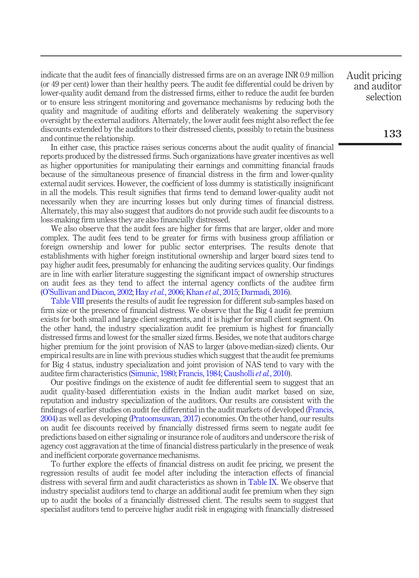indicate that the audit fees of financially distressed firms are on an average INR 0.9 million (or 49 per cent) lower than their healthy peers. The audit fee differential could be driven by lower-quality audit demand from the distressed firms, either to reduce the audit fee burden or to ensure less stringent monitoring and governance mechanisms by reducing both the quality and magnitude of auditing efforts and deliberately weakening the supervisory oversight by the external auditors. Alternately, the lower audit fees might also reflect the fee discounts extended by the auditors to their distressed clients, possibly to retain the business and continue the relationship.

In either case, this practice raises serious concerns about the audit quality of financial reports produced by the distressed firms. Such organizations have greater incentives as well as higher opportunities for manipulating their earnings and committing financial frauds because of the simultaneous presence of financial distress in the firm and lower-quality external audit services. However, the coefficient of loss dummy is statistically insignificant in all the models. This result signifies that firms tend to demand lower-quality audit not necessarily when they are incurring losses but only during times of financial distress. Alternately, this may also suggest that auditors do not provide such audit fee discounts to a loss-making firm unless they are also financially distressed.

We also observe that the audit fees are higher for firms that are larger, older and more complex. The audit fees tend to be greater for firms with business group affiliation or foreign ownership and lower for public sector enterprises. The results denote that establishments with higher foreign institutional ownership and larger board sizes tend to pay higher audit fees, presumably for enhancing the auditing services quality. Our findings are in line with earlier literature suggesting the significant impact of ownership structures on audit fees as they tend to affect the internal agency conflicts of the auditee firm (O'Sullivan and Diacon, 2002; Hay *et al.*, 2006; Khan *et al.*, 2015; Darmadi, 2016).

Table VIII presents the results of audit fee regression for different sub-samples based on firm size or the presence of financial distress. We observe that the Big 4 audit fee premium exists for both small and large client segments, and it is higher for small client segment. On the other hand, the industry specialization audit fee premium is highest for financially distressed firms and lowest for the smaller sized firms. Besides, we note that auditors charge higher premium for the joint provision of NAS to larger (above-median-sized) clients. Our empirical results are in line with previous studies which suggest that the audit fee premiums for Big 4 status, industry specialization and joint provision of NAS tend to vary with the auditee firm characteristics (Simunic, 1980; Francis, 1984; Causholli *et al.*, 2010).

Our positive findings on the existence of audit fee differential seem to suggest that an audit quality-based differentiation exists in the Indian audit market based on size, reputation and industry specialization of the auditors. Our results are consistent with the findings of earlier studies on audit fee differential in the audit markets of developed (Francis, 2004) as well as developing (Pratoomsuwan, 2017) economies. On the other hand, our results on audit fee discounts received by financially distressed firms seem to negate audit fee predictions based on either signaling or insurance role of auditors and underscore the risk of agency cost aggravation at the time of financial distress particularly in the presence of weak and inefficient corporate governance mechanisms.

To further explore the effects of financial distress on audit fee pricing, we present the regression results of audit fee model after including the interaction effects of financial distress with several firm and audit characteristics as shown in Table IX. We observe that industry specialist auditors tend to charge an additional audit fee premium when they sign up to audit the books of a financially distressed client. The results seem to suggest that specialist auditors tend to perceive higher audit risk in engaging with financially distressed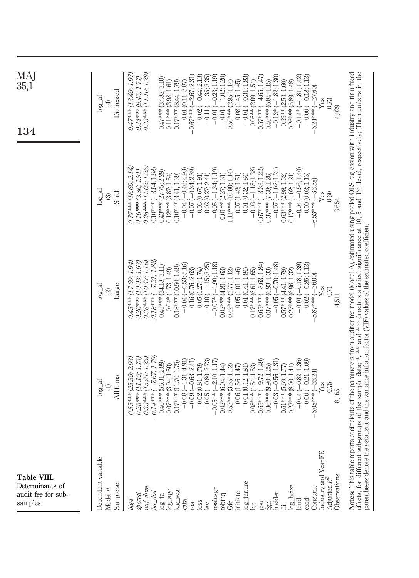| Table VIII.<br>Determinants of<br>audit fee for sub-<br>samples                                |                                                                              |                                                                                                                                                                                                                                                                                                                                                                                                                                                    |                                                                              | <b>MA</b><br>35,1<br>134                                                     |
|------------------------------------------------------------------------------------------------|------------------------------------------------------------------------------|----------------------------------------------------------------------------------------------------------------------------------------------------------------------------------------------------------------------------------------------------------------------------------------------------------------------------------------------------------------------------------------------------------------------------------------------------|------------------------------------------------------------------------------|------------------------------------------------------------------------------|
| Dependent variable<br>Sample set<br>Model #                                                    | All firms<br>$log\_at$<br>$\ominus$                                          | $\log_2$ af<br>Large<br>$\circledcirc$                                                                                                                                                                                                                                                                                                                                                                                                             | $\log_2$ af<br>Small<br>O                                                    | Distressed<br>$log\_at$<br>$\circled{4}$                                     |
| naf_dum<br>special<br>big4                                                                     | $0.33***$ (15.91; 1.25)<br>$0.25***$ (1119; 1.75)<br>$0.55***$ (25.39; 2.03) | 0.38*** (10.47; 1.16)<br>$0.26***$ (10.03; 1.67)<br>0.45*** (17.60; 1.94)                                                                                                                                                                                                                                                                                                                                                                          | $0.28***$ (11.02; 1.25)<br>$0.77***$ (18.60; 2.14)<br>$0.16***$ (3.86; 1.91) | $0.33***$ (11.10; 1.28)<br>$0.47***$ (13.49; 1.97)<br>$0.34***$ (9.45; 1.77) |
| $\begin{array}{c} \begin{array}{c} \text{fin\_dist} \\ \text{log\_ta} \end{array} \end{array}$ | $0.14***$ (-7.67; 1.70)<br>$0.46***$ (56.31; 2.89)                           | $-0.18***(-7.21;1.83)$<br>$0.45***$ (34.18; 3.11)                                                                                                                                                                                                                                                                                                                                                                                                  | $-0.10***$ (-3.54; 1.68)<br>$0.43***$ (27.75; 2.29)                          | $0.47***$ (37.88; 3.10)                                                      |
| $log_2$ age                                                                                    | $0.07***$ (3.94; 1.50)                                                       | $0.04*$ (1.73; 1.49)                                                                                                                                                                                                                                                                                                                                                                                                                               | $0.12***$ (3.87; 1.54)                                                       | $0.11***$ (3.98; 1.61)                                                       |
| $log\_seg$<br>cata                                                                             | $-0.08(-1.31; 4.91)$<br>$0.17***$ $(11.70; 1.75)$                            | $-0.04(-0.53; 5.16)$<br>$0.18***$ (10.50; 1.49)                                                                                                                                                                                                                                                                                                                                                                                                    | $-0.04(-0.46; 4.93)$<br>$0.10***$ (3.41; 1.39)                               | $0.17***$ (8.44; 1.79)<br>0.01(0.11; 3.87)                                   |
| roa                                                                                            | $-0.09$ $(-0.63; 2.41)$<br>0.02(0.81; 1.78)                                  | 0.05(1.27; 1.74)<br>0.16(0.76; 2.63)                                                                                                                                                                                                                                                                                                                                                                                                               | $-0.07(-0.34; 2.39)$<br>0.03(0.67; 1.91)                                     | $(-2.67; 2.31)$<br>$-0.67***$<br>$-0.02$                                     |
| loss<br>lev                                                                                    | $-0.05(-0.80; 2.73)$                                                         | $-0.10(-1.15; 3.25)$                                                                                                                                                                                                                                                                                                                                                                                                                               | 0.02(0.27; 2.41)                                                             | $-1.35; 3.35$<br>$-0.44; 2.13$<br>$-0.11$                                    |
| nsalesgr                                                                                       | $-0.05***(-2.10;1.17)$<br>$0.02***$ (6.04; 1.44)                             | $-0.07*(-1.90; 1.18)$<br>$0.02***$ (4.81; 1.63)                                                                                                                                                                                                                                                                                                                                                                                                    | $-0.05(-1.34; 1.19)$<br>$0.01**$ (2.27; 1.31)                                | $-0.23; 1.19$<br>$(-1.02; 1.20)$<br>$-0.01$<br>$-0.01$                       |
| tobinq<br>Gfc                                                                                  | $0.53***$ $(3.55; 1.12)$                                                     | $0.42***$ (2.77; 1.12)                                                                                                                                                                                                                                                                                                                                                                                                                             | 1.11*** (10.80; 1.14)                                                        | $0.50***$ (2.95; 1.14)                                                       |
| initiate                                                                                       | $0.06$ $(1.56; 1.47)$                                                        | 0.05(1.01; 1.46)                                                                                                                                                                                                                                                                                                                                                                                                                                   | 0.07(1.42; 1.51)                                                             | 0.08(1.45; 1.45)                                                             |
| log_tenure<br>$^{56}$                                                                          | $0.08*** (4.54; 1.53)$<br>0.01(0.42; 1.81)                                   | 0.01(0.41; 1.84)<br>$0.17***$ (6.61; 1.65)                                                                                                                                                                                                                                                                                                                                                                                                         | $-0.03(-1.18; 1.38)$<br>0.01(0.32; 1.84)                                     | $(-0.31; 1.83)$<br>$0.06**$ (2.09; 1.54)<br>$-0.01$                          |
| psu                                                                                            | $0.65***(-9.72;1.49)$                                                        | $-0.65***(-8.63; 1.84)$                                                                                                                                                                                                                                                                                                                                                                                                                            | $(-3.33; 1.22)$<br>$0.67***$                                                 | $0.57***(-4.65;1.47$                                                         |
| insider<br>$\mathop{\mathrm{rgn}}$                                                             | $-0.03(-0.56; 1.31)$<br>$0.36***$ (9.90; 1.25)                               | $-0.05(-0.70; 1.48)$<br>$0.37***$ (6.93; 1.33)                                                                                                                                                                                                                                                                                                                                                                                                     | $-0.07(-1.02; 1.24)$<br>$0.37***$ (7.38; 1.28)                               | $-0.13*(-1.82; 1.30)$<br>$0.46***$ (6.84; 1.15)                              |
|                                                                                                | $0.61***$ (5.69; 1.77)                                                       | $0.57***$ (4.41; 1.79)                                                                                                                                                                                                                                                                                                                                                                                                                             | $0.63***$ (2.98; 1.32)                                                       | $0.39**$ (2.53; 1.60)                                                        |
| log_bsize                                                                                      | $0.23***$ (8.00; 1.41)                                                       | $0.27***$ (6.96; 1.32)                                                                                                                                                                                                                                                                                                                                                                                                                             | $0.17***$ (4.02; 1.21)                                                       | $0.26***$ (5.89; 1.48)                                                       |
| bind                                                                                           | $-0.04 (-0.82; 1.36)$<br>$-0.001$                                            | $-0.01(-0.18; 1.39)$                                                                                                                                                                                                                                                                                                                                                                                                                               | $-0.04(-0.56; 1.40)$                                                         | $(-1.81:1.42)$<br>$-0.14*$                                                   |
| Constant<br>ceod                                                                               | $-0.21; 1.09$<br>$-33.24$<br>$6.08***$                                       | $-0.02(-0.85; 1.13)$<br>$5.87***(-26.00)$                                                                                                                                                                                                                                                                                                                                                                                                          | 0.00(0.03; 1.13)<br>$-6.53***(-33.58)$                                       | $-0.18; 1.13$<br>$-27,60$<br>$6.24***$<br>$-0.000$                           |
| Industry and Year FE                                                                           | Yes                                                                          | $\mathrm{Yes}$                                                                                                                                                                                                                                                                                                                                                                                                                                     | Yes                                                                          | ${\it Yes}$                                                                  |
| Adjusted $R^2$                                                                                 | 0.75                                                                         | 0.71                                                                                                                                                                                                                                                                                                                                                                                                                                               | 0.60                                                                         | 0.73                                                                         |
| Observations                                                                                   | 8,165                                                                        | 4,511                                                                                                                                                                                                                                                                                                                                                                                                                                              | 3,654                                                                        | 4,029                                                                        |
|                                                                                                |                                                                              | effects, for different sub-groups of the sample data; *, *** and *** denote statistical significance at 10, 5 and 1% level, respectively; The numbers in the<br>Notes: This table reports coefficients of the parameters from auditor fee model (Model A), estimated using pooled OLS regression with industry and firm fixed<br>parentheses denote the $t$ -statistic and the variance inflation factor (VIF) values of the estimated coefficient |                                                                              |                                                                              |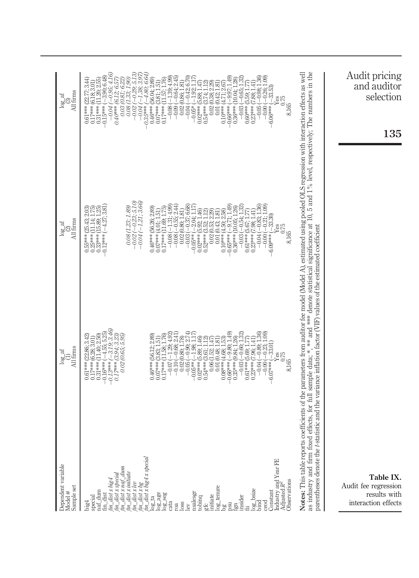| All firms<br>$\log_{10}$                                                  | $-0.95:4.16$<br>$-4.80, 6.64$<br>$(-0.98; 1.36$<br>$-0.26:1.09$<br>1.49<br>$-3.90, 6.48$<br>$0.61***$ (22.77; 3.44)<br>0.17*** (6.18; 3.01)<br>(11.20, 2.55)<br>$(-1.39; 4.99)$<br>$-0.64:2.45$<br>$-0.42; 6.70$<br>$0.36***$ $(10.04; 1.28$<br>$-0.29; 5.1$<br>56.04:2.89<br>11.57; 1.76<br>0.03 (0.81; 6.22<br>0.02(0.86; 1.81)<br>6.12; 6.5<br>$0.60***$ (5.59; 1.77)<br>0.23*** (7.88; 1.41)<br>(3.74: 1.12<br>0.02(0.38; 2.29)<br>(5.88, 1.47)<br>3.81:1.51<br>0.01(0.42; 1.81)<br>$-1.38$ ;<br>$-33.53$<br>$-1.92$<br>$-0.03(-0.65)$<br>$(-9.97)$<br>0.08 (1.33;<br>にわ)<br>8E<br>0.75<br>8,165<br>$-0.05($<br>$-0.08($<br>$0.54***$<br>$0.66***$<br>$0.60***$<br>$0.31***$<br>$-0.04($<br>$-0.05*$<br>$0.02***$<br>$0.10***$<br>$-0.00($<br>$-0.15***$<br>$0.17***$<br>$-0.09$<br>$6.06***$<br>$-0.04$<br>$-0.02$<br>$0.07***$<br>$0.40***$<br>$-0.04$<br>$0.35***$<br>$0.46***$                           | Audit pricing<br>and auditor<br>selection<br>135                                                                                                                                                                                                                                                                                                                                                                                                       |
|---------------------------------------------------------------------------|------------------------------------------------------------------------------------------------------------------------------------------------------------------------------------------------------------------------------------------------------------------------------------------------------------------------------------------------------------------------------------------------------------------------------------------------------------------------------------------------------------------------------------------------------------------------------------------------------------------------------------------------------------------------------------------------------------------------------------------------------------------------------------------------------------------------------------------------------------------------------------------------------------------|--------------------------------------------------------------------------------------------------------------------------------------------------------------------------------------------------------------------------------------------------------------------------------------------------------------------------------------------------------------------------------------------------------------------------------------------------------|
| $\begin{array}{c} \log\_af \\ \text{(2)} \\ \text{All firms} \end{array}$ | $\begin{array}{c} 0.08\, (1.23; \, 1.89) \\ -0.02\, (-0.23; \, 5.10) \\ -0.04\, (-1.21; \, 3.66) \end{array}$<br>$-1.31:4.99$<br>$(-0.37; 6.68)$<br>$(-9.71:1.49$<br>$(-4.27; 3.81)$<br>$-0.55; 2.44$<br>$-2.04:1.17$<br>$-0.21:1.09$<br>0.46*** (56.26; 2.89)<br>$0.36***$ (10.05; 1.26<br>$-0.83; 1.3$<br>$-0.03(-0.54; 1.3)$<br>0.02(0.80; 1.81)<br>(4.01; 1.51)<br>5.92: 1.46<br>(3.52; 1.12)<br>0.02(0.53; 2.29)<br>0.01(0.43; 1.81)<br>(4.50, 2.58)<br>$(5.67; 1.77)$<br>$(7.98; 1.41)$<br>$-33.30$<br>$\begin{array}{c} 0.25***\, \overbrace{ (11.14, 1)} \\ 0.33***\, \overbrace{ (15.89, 1)} \\ -0.12***\, (-4.27:3) \end{array}$<br>1.69.1<br>$0.55***$ (25.43; 2<br>0.25*** (11.14; 1<br>G<br>0.75<br>8,165<br>$-0.65***$<br>$0.23***$<br>$0.17***$<br>$-0.03$<br>$0.02***$<br>$0.10***$<br>$0.61***$<br>$-0.04$<br>$0.07***$<br>$-0.08$<br>$-0.08$<br>$-0.05***$<br>$0.52***$<br>$-0.00($<br>6.09*** |                                                                                                                                                                                                                                                                                                                                                                                                                                                        |
| All firms<br>$log\_af$                                                    | $-3.19; 3.46$<br>$(-9.80, 1.49)$<br>$-0.03(-0.60; 1.32)$<br>$-0.04(-0.89, 1.36$<br>$\begin{array}{c} -0.23; 1.09 \ -33.01 \end{array}$<br>$-0.90; 2.74$<br>$-1.29; 4.92$<br>(3.94, 3.23)<br>0.02 (0.65; 5.95,<br>$-0.68; 2.41$<br>$0.46***$ (56.12: 2.89)<br>$0.31***$ $(11.40, 2.50)$<br>0.02(0.80; 1.78)<br>$0.35***$ $(9.84; 1.26)$<br>(4.68; 1.53)<br>$0.61***$ (5.69; 1.77)<br>$0.23***$ $(7.96, 1.41)$<br>0.01(0.48, 1.81)<br>0.06(1.52; 1.47)<br>$0.17***$ $(6.28, 3.01$<br>$-4.55;5$<br>$-1.98:$<br>0.61 *** (22.86;<br>5.89.<br>3.61<br>Yes<br>0.75<br>8,165<br>$0.54***$<br>$-0.66***$<br>$-0.00($<br>$0.17***$<br>$-0.05($<br>$-0.16***$<br>$-0.10($<br>$-0.05***$<br>$0.02***$<br>$0.08***$<br>$0.13***$<br>$0.07***$<br>$0.17***$<br>$-6.07***$<br>$-0.07$                                                                                                                                          | as industry and firm fixed effects, for full sample data; *, ** and *** denote statistical significance at 10, 5 and 1% level, respectively; The numbers in the<br>Notes: This table reports coefficients of the parameters from auditor fee model (Model A), estimated using pooled OLS regression with interaction effects as well<br>parentheses denote the t-statistic and the variance inflation factor (VIF) values of the estimated coefficient |
| Dependent variable<br>Sample set<br>Model #                               | $\begin{array}{l} \begin{array}{l} \text{inf of}\\ \text{im } \text{dist } s \\ \text{in } \text{dist } s \\ \text{in } \text{dist } s \\ \text{in } \text{dist } s \\ \text{in } \text{dist } s \\ \text{in } \text{dist } t \\ \text{in } \text{dist } t \\ \text{in } \text{dist } t \\ \text{in } \text{dist } s \\ \text{in } \text{dist } s \\ \text{in } \text{dist } s \\ \text{in } \text{dist } s \\ \text{in } \text{dist } s \\ \text{in } \text{dist } s \\ \text{in } \text{dist } s \\ \text{in } \text{dist } s \\ \text{in } \text{$<br>Industry and Year FE<br>Adjusted R <sup>2</sup><br>Observations<br>$\frac{\log_{1} t}{\log_{1} t}$<br>Constant<br>$log_l_{\text{bsize}}$<br>nsalesgr<br>tobinq<br>gfc<br>initiate<br>insider<br>special<br>ceod<br>big4<br>fgn<br>Ιèν                                                                                                                   | Table IX.<br>Audit fee regression<br>results with<br>interaction effects                                                                                                                                                                                                                                                                                                                                                                               |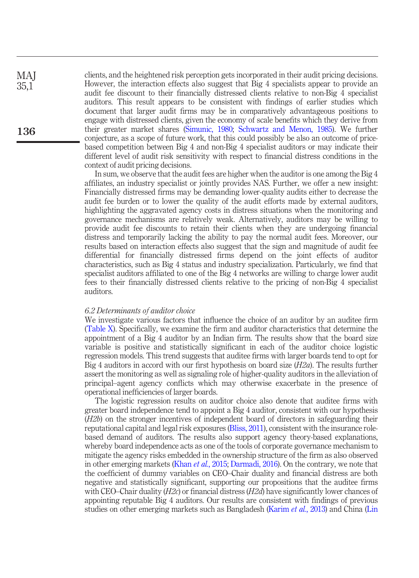clients, and the heightened risk perception gets incorporated in their audit pricing decisions. However, the interaction effects also suggest that Big 4 specialists appear to provide an audit fee discount to their financially distressed clients relative to non-Big 4 specialist auditors. This result appears to be consistent with findings of earlier studies which document that larger audit firms may be in comparatively advantageous positions to engage with distressed clients, given the economy of scale benefits which they derive from their greater market shares (Simunic, 1980; Schwartz and Menon, 1985). We further conjecture, as a scope of future work, that this could possibly be also an outcome of pricebased competition between Big 4 and non-Big 4 specialist auditors or may indicate their different level of audit risk sensitivity with respect to financial distress conditions in the context of audit pricing decisions.

In sum, we observe that the audit fees are higher when the auditor is one among the Big 4 affiliates, an industry specialist or jointly provides NAS. Further, we offer a new insight: Financially distressed firms may be demanding lower-quality audits either to decrease the audit fee burden or to lower the quality of the audit efforts made by external auditors, highlighting the aggravated agency costs in distress situations when the monitoring and governance mechanisms are relatively weak. Alternatively, auditors may be willing to provide audit fee discounts to retain their clients when they are undergoing financial distress and temporarily lacking the ability to pay the normal audit fees. Moreover, our results based on interaction effects also suggest that the sign and magnitude of audit fee differential for financially distressed firms depend on the joint effects of auditor characteristics, such as Big 4 status and industry specialization. Particularly, we find that specialist auditors affiliated to one of the Big 4 networks are willing to charge lower audit fees to their financially distressed clients relative to the pricing of non-Big 4 specialist auditors.

#### *6.2 Determinants of auditor choice*

We investigate various factors that influence the choice of an auditor by an auditee firm (Table X). Specifically, we examine the firm and auditor characteristics that determine the appointment of a Big 4 auditor by an Indian firm. The results show that the board size variable is positive and statistically significant in each of the auditor choice logistic regression models. This trend suggests that auditee firms with larger boards tend to opt for Big 4 auditors in accord with our first hypothesis on board size (*H2a*). The results further assert the monitoring as well as signaling role of higher-quality auditors in the alleviation of principal–agent agency conflicts which may otherwise exacerbate in the presence of operational inefficiencies of larger boards.

The logistic regression results on auditor choice also denote that auditee firms with greater board independence tend to appoint a Big 4 auditor, consistent with our hypothesis (*H2b*) on the stronger incentives of independent board of directors in safeguarding their reputational capital and legal risk exposures (Bliss, 2011), consistent with the insurance rolebased demand of auditors. The results also support agency theory-based explanations, whereby board independence acts as one of the tools of corporate governance mechanism to mitigate the agency risks embedded in the ownership structure of the firm as also observed in other emerging markets (Khan *et al.*, 2015; Darmadi, 2016). On the contrary, we note that the coefficient of dummy variables on CEO–Chair duality and financial distress are both negative and statistically significant, supporting our propositions that the auditee firms with CEO–Chair duality (*H2c*) or financial distress (*H2d*) have significantly lower chances of appointing reputable Big 4 auditors. Our results are consistent with findings of previous studies on other emerging markets such as Bangladesh (Karim *et al.*, 2013) and China (Lin

136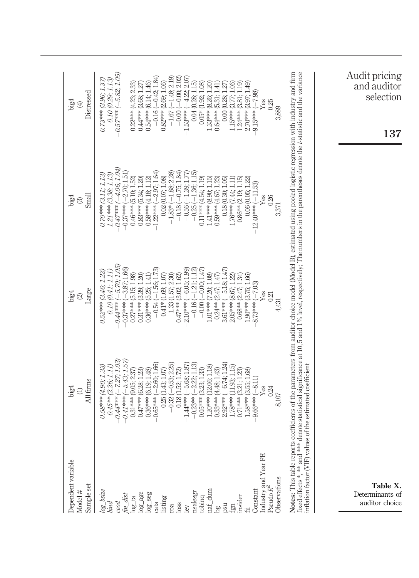| Dependent variable<br>Sample set<br>Model #                             | All firms<br>big4<br>$\ominus$                                                                                                                                                         | Large<br>big4<br>$\circledcirc$                                                                                                                   | Small<br>big4<br>$\odot$                                                                                                                                                                                                                                                                                                                    | Distressed<br>$_{\rm big4}$<br>$\bigoplus$                                                                                                         |
|-------------------------------------------------------------------------|----------------------------------------------------------------------------------------------------------------------------------------------------------------------------------------|---------------------------------------------------------------------------------------------------------------------------------------------------|---------------------------------------------------------------------------------------------------------------------------------------------------------------------------------------------------------------------------------------------------------------------------------------------------------------------------------------------|----------------------------------------------------------------------------------------------------------------------------------------------------|
| log_bsize<br>bind<br>$\epsilon$ eod                                     | $-7.27; 1.03$<br>$(-5.43; 1.57)$<br>$0.45**$ (2.26; 1.11)<br>0.58*** (4.90; 1.33)<br>$-0.44***$<br>$-0.41***$                                                                          | $0.44***$ (-5.70; 1.05)<br>$-0.37***(-3.87;1.66)$<br>0.10(0.41; 1.11)<br>0.52*** (3.46; 1.22)                                                     | $-0.47***(-4.06;1.04)$<br>$-0.37***(-2.70;1.51)$<br>$1.21***$ (3.38; 1.13)<br>$0.70***$ (3.11; 1.13)                                                                                                                                                                                                                                        | $0.57***$ (-5.82; 1.05)<br>0.10(0.29; 1.13)<br>$0.73***$ (3.96; 1.37,                                                                              |
| $log_2$ ta<br>$log_2$ age<br>$log\_seg$<br>$fn\_dist$<br>cata           | $-2.60; 1.66$<br>$0.31***$ (9.05; 2.37)<br>$0.47***$ (6.28; 1.23)<br>$0.36***$ (6.19; 1.48)<br>$0.65***$                                                                               | $-0.54(-1.56; 1.73)$<br>$0.27***$ (5.15; 1.98)<br>$0.36***$ (5.25; 1.41)<br>$0.31***$ $(3.39; 1.20)$                                              | $1.22***(-2.97;1.64)$<br>$0.46***$ (5.10; 1.52)<br>$0.83***$ (5.34; 1.20)<br>$0.58*** (4.18; 1.12)$                                                                                                                                                                                                                                         | $-0.16(-0.42; 1.84)$<br>$0.54***$ (6.14; 1.46)<br>$0.22***$ (4.23; 2.33)<br>$0.44***$ (3.68; 1.27)                                                 |
| nsalesgr<br>listing<br>loss<br>roa<br>lev                               | $(-2.22; 1.13)$<br>$-0.53; 2.25$<br>$(-5.68; 1.87)$<br>(1.43; 1.07)<br>0.18(1.52; 1.72)<br>0.25(<br>$-0.32$<br>$-1.44***$<br>$-0.23**$                                                 | $2.10***(-6.05;1.99)$<br>$-0.16(-1.21; 1.12)$<br>$0.41*$ (1.69; 1.07)<br>1.33 (1.57; 2.30)<br>$0.47***$ (3.02; 1.62)                              | $-0.56(-1.39; 1.77)$<br>$-0.25(-1.36; 1.15)$<br>$-1.83*(-1.88; 2.28)$<br>$-0.18(-0.75; 1.84)$<br>0.02(0.07; 1.08)                                                                                                                                                                                                                           | $-1.67$ ( $-1.48$ ; 2.19)<br>$-0.00(-0.00; 2.02)$<br>$-1.53***$ ( $-4.22:2.07$<br>$0.82***$ (2.69; 1.06)<br>0.04(0.28; 1.15)                       |
| naf_dum<br>tobinq<br>insider<br>bg<br>psu<br>fgn                        | $(-6.74; 1.24)$<br>1.20*** (12.06; 1.18)<br>$1.78***$ (11.93; 1.15)<br>$0.05***$ (3.23; 1.33)<br>$0.33***$ (4.48; 1.43)<br>$0.71***$ (3.21; 1.23)<br>1.58*** (3.55; 1.68)<br>$2.92***$ | $3.61*** (-5.18; 1.47)$<br>$-0.00(-0.00; 1.47)$<br>$0.68** (2.47; 1.34)$<br>1.01*** (7.20; 1.08)<br>$0.24**$ (2.47; 1.47)<br>2.05*** (8.67; 1.22) | $0.11***$ (4.54; 1.19)<br>1.41*** (8.90; 1.15)<br>$0.86**$ (2.19; 1.15)<br>$0.59***$ (4.67; 1.23)<br>0.18(0.30; 1.05)<br>$1.76***$ (7.44; 1.11                                                                                                                                                                                              | $0.05*$ $(1.92; 1.08)$<br>1.33*** (8.26; 1.20)<br>$1.24***$ (3.81; 1.19)<br>1.15*** (3.77; 1.06)<br>$0.64***$ (5.31; 1.41)<br>$0.00\ (0.28; 1.27)$ |
| Industry and Year FE<br>Pseudo $R^2$<br><b>Observations</b><br>Constant | $(-8.11)$<br>Yes<br>0.24<br>9.66***                                                                                                                                                    | 1.90*** (3.75; 1.66)<br>$8.73***(-7.03)$<br>Yes<br>0.21                                                                                           | 0.06(0.05; 1.22)<br>$-12.40***(-11.53)$<br>Yes<br>0.26<br>3,371                                                                                                                                                                                                                                                                             | $2.70***$ (3.97; 1.49)<br>$9.15*** (-7.98)$<br>Ýes<br>0.25<br>3,889                                                                                |
| inflation factor (VIF) valu                                             | es of the estimated coefficient                                                                                                                                                        |                                                                                                                                                   | fixed effects *, ** and **** denote statistical significance at 10, 5 and 1% level, respectively; The numbers in the parentheses denote the t-statistic and the variance<br>Notes: This table reports coefficients of the parameters from auditor choice model (Model B), estimated using pooled logistic regression with industry and firm |                                                                                                                                                    |
| Table X.<br>Determinants of<br>auditor choice                           |                                                                                                                                                                                        |                                                                                                                                                   |                                                                                                                                                                                                                                                                                                                                             | Audit pricing<br>and auditor<br>selection<br>137                                                                                                   |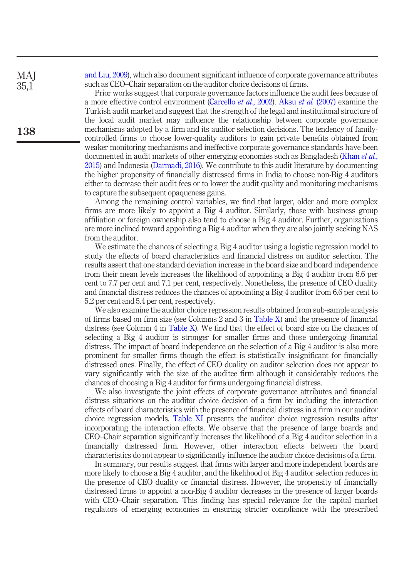and Liu, 2009), which also document significant influence of corporate governance attributes such as CEO–Chair separation on the auditor choice decisions of firms.

Prior works suggest that corporate governance factors influence the audit fees because of a more effective control environment (Carcello *et al.*, 2002). Aksu *et al.* (2007) examine the Turkish audit market and suggest that the strength of the legal and institutional structure of the local audit market may influence the relationship between corporate governance mechanisms adopted by a firm and its auditor selection decisions. The tendency of familycontrolled firms to choose lower-quality auditors to gain private benefits obtained from weaker monitoring mechanisms and ineffective corporate governance standards have been documented in audit markets of other emerging economies such as Bangladesh (Khan *et al.*, 2015) and Indonesia (Darmadi, 2016). We contribute to this audit literature by documenting the higher propensity of financially distressed firms in India to choose non-Big 4 auditors either to decrease their audit fees or to lower the audit quality and monitoring mechanisms to capture the subsequent opaqueness gains.

Among the remaining control variables, we find that larger, older and more complex firms are more likely to appoint a Big 4 auditor. Similarly, those with business group affiliation or foreign ownership also tend to choose a Big 4 auditor. Further, organizations are more inclined toward appointing a Big 4 auditor when they are also jointly seeking NAS from the auditor.

We estimate the chances of selecting a Big 4 auditor using a logistic regression model to study the effects of board characteristics and financial distress on auditor selection. The results assert that one standard deviation increase in the board size and board independence from their mean levels increases the likelihood of appointing a Big 4 auditor from 6.6 per cent to 7.7 per cent and 7.1 per cent, respectively. Nonetheless, the presence of CEO duality and financial distress reduces the chances of appointing a Big 4 auditor from 6.6 per cent to 5.2 per cent and 5.4 per cent, respectively.

We also examine the auditor choice regression results obtained from sub-sample analysis of firms based on firm size (see Columns 2 and 3 in Table X) and the presence of financial distress (see Column 4 in Table X). We find that the effect of board size on the chances of selecting a Big 4 auditor is stronger for smaller firms and those undergoing financial distress. The impact of board independence on the selection of a Big 4 auditor is also more prominent for smaller firms though the effect is statistically insignificant for financially distressed ones. Finally, the effect of CEO duality on auditor selection does not appear to vary significantly with the size of the auditee firm although it considerably reduces the chances of choosing a Big 4 auditor for firms undergoing financial distress.

We also investigate the joint effects of corporate governance attributes and financial distress situations on the auditor choice decision of a firm by including the interaction effects of board characteristics with the presence of financial distress in a firm in our auditor choice regression models. Table XI presents the auditor choice regression results after incorporating the interaction effects. We observe that the presence of large boards and CEO–Chair separation significantly increases the likelihood of a Big 4 auditor selection in a financially distressed firm. However, other interaction effects between the board characteristics do not appear to significantly influence the auditor choice decisions of a firm.

In summary, our results suggest that firms with larger and more independent boards are more likely to choose a Big 4 auditor, and the likelihood of Big 4 auditor selection reduces in the presence of CEO duality or financial distress. However, the propensity of financially distressed firms to appoint a non-Big 4 auditor decreases in the presence of larger boards with CEO–Chair separation. This finding has special relevance for the capital market regulators of emerging economies in ensuring stricter compliance with the prescribed

138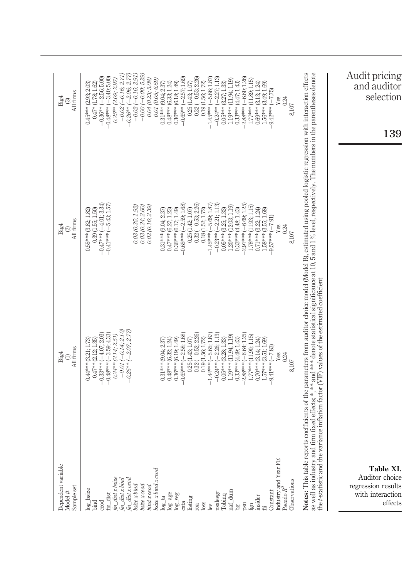| Dependent variable<br>Sample set<br>Model #                                                                                                        | All firms<br>Big4                                                                                                                                                                                                                     | $^{(2)}_{\rm All\, firms}$<br>Big4                                                                                                                                                                                                                                                                                                                         | All firms<br>Big4<br>ල                                                                                                                                                                                                              |
|----------------------------------------------------------------------------------------------------------------------------------------------------|---------------------------------------------------------------------------------------------------------------------------------------------------------------------------------------------------------------------------------------|------------------------------------------------------------------------------------------------------------------------------------------------------------------------------------------------------------------------------------------------------------------------------------------------------------------------------------------------------------|-------------------------------------------------------------------------------------------------------------------------------------------------------------------------------------------------------------------------------------|
| $\begin{array}{l} \it{fin\_dist} \; x \; \it{bsize} \\ \it{fin\_dist} \; x \; \it{bind} \end{array}$<br>$log_l{basic}$<br>${\rm fm\_dist}$<br>ceod | $(-0.14; 2.10)$<br>$-0.33***(-4.07;2.03)$<br>$-0.48***$ (-3.59; 4.33)<br>$0.24**$ (2.14; 2.51)<br>$0.47***$ (2.12; 1.35)<br>$0.44***$ (3.21; 1.73)<br>$-0.01$                                                                         | $-0.47***(-4.01; 3.34)$<br>$-0.41***(-5.43;1.57$<br>0.39(1.55; 1.50)<br>$0.55***$ (3.82; 1.82)                                                                                                                                                                                                                                                             | $-0.02(-0.16; 2.71)$<br>$-0.36**(-2.56; 5.00)$<br>$-0.48***(-3.40; 5.00)$<br>$0.25**$ (2.09; 2.97)<br>$0.47*$ (1.78; 1.62)<br>$0.45***$ (2.93; 2.03)                                                                                |
| fin_dist x ceoa<br>bsize x bind<br>bsize x ceod<br>bind x ceod                                                                                     | $-0.25**$ (-2.07; 2.77)                                                                                                                                                                                                               | 0.03 (0.24; 2.60)<br>0.02(0.16; 2.39)<br>0.03(0.35; 1.92)                                                                                                                                                                                                                                                                                                  | $-0.00(-0.00; 5.29)$<br>$-0.26**$ (-2.06; 2.77<br>$-0.02(-0.16; 2.91)$<br>0.04(0.23; 5.08)                                                                                                                                          |
| bsize x bind x ced<br>$log\_age$<br>$log\_seg$<br>$log\_ta$<br>cata                                                                                | $-0.65***(-2.58; 1.68)$<br>$0.36***$ (6.19; 1.49)<br>$0.48***$ (6.32; 1.24)<br>$0.31***$ (9.04; 2.37)                                                                                                                                 | $-0.65***(-2.59; 1.68)$<br>$0.36***$ (6.17; 1.49)<br>$0.47***$ (6.27; 1.23)<br>$0.31***$ $(9.04; 2.37)$                                                                                                                                                                                                                                                    | $-0.65***(-2.57;1.69)$<br>0.01 (0.05; 6.69)<br>$0.36***$ (6.18; 1.49)<br>$0.48***$ $(6.33; 1.24)$<br>$0.31***$ (9.04; 2.37)                                                                                                         |
| listing<br>loss<br>roa<br>lev                                                                                                                      | $-0.32(-0.52, 2.26)$<br>$-1.44***$ $(-5.65, 1.87)$<br>0.19(1.56; 1.72)<br>$0.25\ (1.43; 1.07)$                                                                                                                                        | $-0.32(-0.53; 2.26)$<br>$-1.45***$ (-5.69; 1.87<br>0.25(1.42; 1.07)<br>0.18(1.52; 1.72)                                                                                                                                                                                                                                                                    | $-0.32(-0.53; 2.26)$<br>$-1.45***(-5.66;1.87)$<br>0.25(1.43; 1.07)<br>0.19(1.56; 1.72)                                                                                                                                              |
| Industry and Year FE<br>Constant<br>$nat_dium$<br>nsalesgr<br>Tobinq<br>insider<br>psu<br>fgm<br>$b$ gd                                            | $-0.24**(-2.26; 1.13)$<br>$2.88***(-6.64:1.25$<br>$1.19***$ $(11.94; 1.19)$<br>1.77*** (11.90; 1.15)<br>$0.05***$ (3.28; 1.33)<br>$0.70***$ (3.14; 1.24)<br>$0.33***$ (4.49; 1.43)<br>1.57*** (3.51; 1.69)<br>$9.41***(-7.83)$<br>Yes | $-0.23**(-2.21; 1.13)$<br>$2.91***(-6.69;1.25$<br>$1.78***$ (11.93; 1.15)<br>$1.20***$ $(12.03; 1.19)$<br>$0.05***$ (3.25; 1.33)<br>$0.71***$ (3.22; 1.24)<br>$1.58***$ (3.55; 1.68)<br>$0.33***$ (4.48; 1.43)<br>$(1622***-156)$<br>Yes                                                                                                                   | $-0.24**(-2.27; 1.13)$<br>$-2.88***(-6.60;1.26)$<br>1.19*** (11.94; 1.19)<br>1.77*** (11.89; 1.15)<br>$0.05***$ (3.27; 1.33)<br>$0.69***$ (3.13; 1.24)<br>1.56*** (3.49; 1.69)<br>$0.33***$ (4.47; 1.43)<br>$9.42***(-7.75)$<br>Yes |
| Observations<br>Pseudo $R^2$                                                                                                                       | the t-statistic and the variance inflation factor (VIF) values of the estimated coefficient<br>0.24<br>8,107                                                                                                                          | Notes: This table reports coefficients of the parameters from auditor choice model (Model B), estimated using pooled logistic regression with interaction effects<br>as well as industry and firm fixed effects; *, ** and *** denote statistical significance at 10, 5 and 1% level, respectively. The numbers in the parentheses denote<br>0.24<br>8,107 | 0.24<br>8,107                                                                                                                                                                                                                       |
| Table XI.<br>Auditor choice<br>regression results<br>with interaction<br>effects                                                                   |                                                                                                                                                                                                                                       |                                                                                                                                                                                                                                                                                                                                                            | Audit pricing<br>and auditor<br>selection<br>39                                                                                                                                                                                     |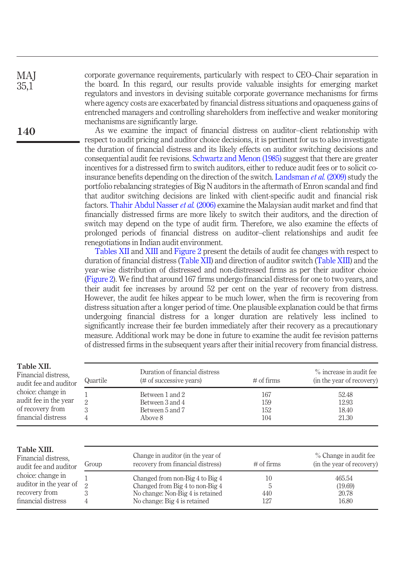corporate governance requirements, particularly with respect to CEO–Chair separation in the board. In this regard, our results provide valuable insights for emerging market regulators and investors in devising suitable corporate governance mechanisms for firms where agency costs are exacerbated by financial distress situations and opaqueness gains of entrenched managers and controlling shareholders from ineffective and weaker monitoring mechanisms are significantly large.

As we examine the impact of financial distress on auditor–client relationship with respect to audit pricing and auditor choice decisions, it is pertinent for us to also investigate the duration of financial distress and its likely effects on auditor switching decisions and consequential audit fee revisions. Schwartz and Menon (1985) suggest that there are greater incentives for a distressed firm to switch auditors, either to reduce audit fees or to solicit coinsurance benefits depending on the direction of the switch. Landsman *et al.* (2009) study the portfolio rebalancing strategies of Big N auditors in the aftermath of Enron scandal and find that auditor switching decisions are linked with client-specific audit and financial risk factors. Thahir Abdul Nasser *et al.* (2006) examine the Malaysian audit market and find that financially distressed firms are more likely to switch their auditors, and the direction of switch may depend on the type of audit firm. Therefore, we also examine the effects of prolonged periods of financial distress on auditor–client relationships and audit fee renegotiations in Indian audit environment.

Tables XII and XIII and Figure 2 present the details of audit fee changes with respect to duration of financial distress (Table XII) and direction of auditor switch (Table XIII) and the year-wise distribution of distressed and non-distressed firms as per their auditor choice (Figure 2). We find that around 167 firms undergo financial distress for one to two years, and their audit fee increases by around 52 per cent on the year of recovery from distress. However, the audit fee hikes appear to be much lower, when the firm is recovering from distress situation after a longer period of time. One plausible explanation could be that firms undergoing financial distress for a longer duration are relatively less inclined to significantly increase their fee burden immediately after their recovery as a precautionary measure. Additional work may be done in future to examine the audit fee revision patterns of distressed firms in the subsequent years after their initial recovery from financial distress.

| Table XII.<br>Financial distress.<br>audit fee and auditor                           | Quartile                 | Duration of financial distress<br>(# of successive years)                                                                              | $\#$ of firms            | % increase in audit fee<br>(in the year of recovery) |
|--------------------------------------------------------------------------------------|--------------------------|----------------------------------------------------------------------------------------------------------------------------------------|--------------------------|------------------------------------------------------|
| choice: change in<br>audit fee in the year<br>of recovery from<br>financial distress | $\overline{2}$<br>3<br>4 | Between 1 and 2<br>Between 3 and 4<br>Between 5 and 7<br>Above 8                                                                       | 167<br>159<br>152<br>104 | 52.48<br>12.93<br>18.40<br>21.30                     |
| Table XIII.<br>Financial distress.<br>audit fee and auditor                          | Group                    | Change in auditor (in the year of<br>recovery from financial distress)                                                                 | $\#$ of firms            | % Change in audit fee<br>(in the year of recovery)   |
| choice: change in<br>auditor in the year of<br>recovery from<br>financial distress   | $\mathcal{P}$<br>3<br>4  | Changed from non-Big 4 to Big 4<br>Changed from Big 4 to non-Big 4<br>No change: Non-Big 4 is retained<br>No change: Big 4 is retained | 10<br>5<br>440<br>127    | 465.54<br>(19.69)<br>20.78<br>16.80                  |

# 140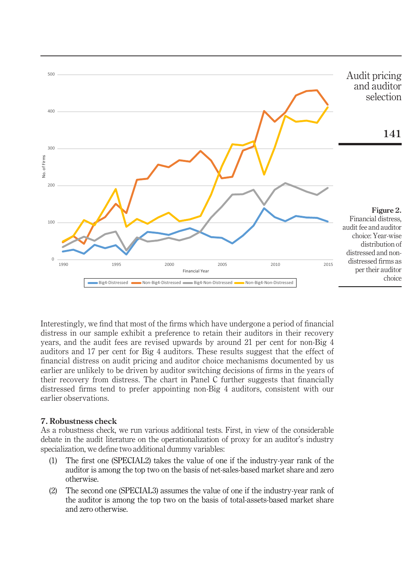

Interestingly, we find that most of the firms which have undergone a period of financial distress in our sample exhibit a preference to retain their auditors in their recovery years, and the audit fees are revised upwards by around 21 per cent for non-Big 4 auditors and 17 per cent for Big 4 auditors. These results suggest that the effect of financial distress on audit pricing and auditor choice mechanisms documented by us earlier are unlikely to be driven by auditor switching decisions of firms in the years of their recovery from distress. The chart in Panel C further suggests that financially distressed firms tend to prefer appointing non-Big 4 auditors, consistent with our earlier observations.

# 7. Robustness check

As a robustness check, we run various additional tests. First, in view of the considerable debate in the audit literature on the operationalization of proxy for an auditor's industry specialization, we define two additional dummy variables:

- (1) The first one (SPECIAL2) takes the value of one if the industry-year rank of the auditor is among the top two on the basis of net-sales-based market share and zero otherwise.
- (2) The second one (SPECIAL3) assumes the value of one if the industry-year rank of the auditor is among the top two on the basis of total-assets-based market share and zero otherwise.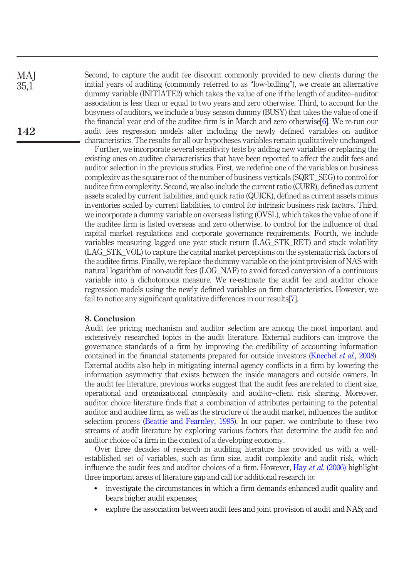Second, to capture the audit fee discount commonly provided to new clients during the initial years of auditing (commonly referred to as "low-balling"), we create an alternative dummy variable (INITIATE2) which takes the value of one if the length of auditee–auditor association is less than or equal to two years and zero otherwise. Third, to account for the busyness of auditors, we include a busy season dummy (BUSY) that takes the value of one if the financial year end of the auditee firm is in March and zero otherwise[6]. We re-run our audit fees regression models after including the newly defined variables on auditor characteristics. The results for all our hypotheses variables remain qualitatively unchanged.

Further, we incorporate several sensitivity tests by adding new variables or replacing the existing ones on auditee characteristics that have been reported to affect the audit fees and auditor selection in the previous studies. First, we redefine one of the variables on business complexity as the square root of the number of business verticals (SQRT\_SEG) to control for auditee firm complexity. Second, we also include the current ratio (CURR), defined as current assets scaled by current liabilities, and quick ratio (QUICK), defined as current assets minus inventories scaled by current liabilities, to control for intrinsic business risk factors. Third, we incorporate a dummy variable on overseas listing (OVSL), which takes the value of one if the auditee firm is listed overseas and zero otherwise, to control for the influence of dual capital market regulations and corporate governance requirements. Fourth, we include variables measuring lagged one year stock return (LAG\_STK\_RET) and stock volatility (LAG\_STK\_VOL) to capture the capital market perceptions on the systematic risk factors of the auditee firms. Finally, we replace the dummy variable on the joint provision of NAS with natural logarithm of non-audit fees (LOG\_NAF) to avoid forced conversion of a continuous variable into a dichotomous measure. We re-estimate the audit fee and auditor choice regression models using the newly defined variables on firm characteristics. However, we fail to notice any significant qualitative differences in our results[7].

# 8. Conclusion

Audit fee pricing mechanism and auditor selection are among the most important and extensively researched topics in the audit literature. External auditors can improve the governance standards of a firm by improving the credibility of accounting information contained in the financial statements prepared for outside investors (Knechel *et al.*, 2008). External audits also help in mitigating internal agency conflicts in a firm by lowering the information asymmetry that exists between the inside managers and outside owners. In the audit fee literature, previous works suggest that the audit fees are related to client size, operational and organizational complexity and auditor–client risk sharing. Moreover, auditor choice literature finds that a combination of attributes pertaining to the potential auditor and auditee firm, as well as the structure of the audit market, influences the auditor selection process (Beattie and Fearnley, 1995). In our paper, we contribute to these two streams of audit literature by exploring various factors that determine the audit fee and auditor choice of a firm in the context of a developing economy.

Over three decades of research in auditing literature has provided us with a wellestablished set of variables, such as firm size, audit complexity and audit risk, which influence the audit fees and auditor choices of a firm. However, Hay *et al.* (2006) highlight three important areas of literature gap and call for additional research to:

- investigate the circumstances in which a firm demands enhanced audit quality and bears higher audit expenses;
- explore the association between audit fees and joint provision of audit and NAS; and

MAJ 35,1

142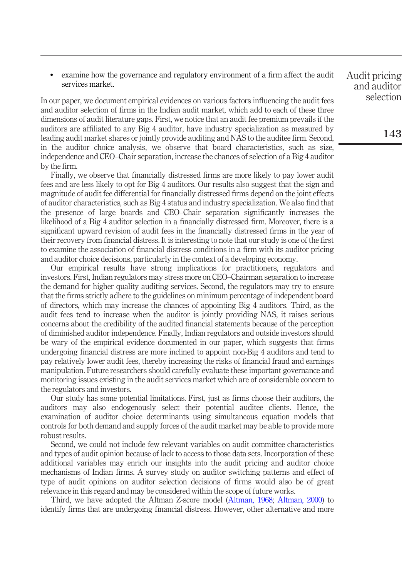examine how the governance and regulatory environment of a firm affect the audit services market.

In our paper, we document empirical evidences on various factors influencing the audit fees and auditor selection of firms in the Indian audit market, which add to each of these three dimensions of audit literature gaps. First, we notice that an audit fee premium prevails if the auditors are affiliated to any Big 4 auditor, have industry specialization as measured by leading audit market shares or jointly provide auditing and NAS to the auditee firm. Second, in the auditor choice analysis, we observe that board characteristics, such as size, independence and CEO–Chair separation, increase the chances of selection of a Big 4 auditor by the firm.

Finally, we observe that financially distressed firms are more likely to pay lower audit fees and are less likely to opt for Big 4 auditors. Our results also suggest that the sign and magnitude of audit fee differential for financially distressed firms depend on the joint effects of auditor characteristics, such as Big 4 status and industry specialization. We also find that the presence of large boards and CEO–Chair separation significantly increases the likelihood of a Big 4 auditor selection in a financially distressed firm. Moreover, there is a significant upward revision of audit fees in the financially distressed firms in the year of their recovery from financial distress. It is interesting to note that our study is one of the first to examine the association of financial distress conditions in a firm with its auditor pricing and auditor choice decisions, particularly in the context of a developing economy.

Our empirical results have strong implications for practitioners, regulators and investors. First, Indian regulators may stress more on CEO–Chairman separation to increase the demand for higher quality auditing services. Second, the regulators may try to ensure that the firms strictly adhere to the guidelines on minimum percentage of independent board of directors, which may increase the chances of appointing Big 4 auditors. Third, as the audit fees tend to increase when the auditor is jointly providing NAS, it raises serious concerns about the credibility of the audited financial statements because of the perception of diminished auditor independence. Finally, Indian regulators and outside investors should be wary of the empirical evidence documented in our paper, which suggests that firms undergoing financial distress are more inclined to appoint non-Big 4 auditors and tend to pay relatively lower audit fees, thereby increasing the risks of financial fraud and earnings manipulation. Future researchers should carefully evaluate these important governance and monitoring issues existing in the audit services market which are of considerable concern to the regulators and investors.

Our study has some potential limitations. First, just as firms choose their auditors, the auditors may also endogenously select their potential auditee clients. Hence, the examination of auditor choice determinants using simultaneous equation models that controls for both demand and supply forces of the audit market may be able to provide more robust results.

Second, we could not include few relevant variables on audit committee characteristics and types of audit opinion because of lack to access to those data sets. Incorporation of these additional variables may enrich our insights into the audit pricing and auditor choice mechanisms of Indian firms. A survey study on auditor switching patterns and effect of type of audit opinions on auditor selection decisions of firms would also be of great relevance in this regard and may be considered within the scope of future works.

Third, we have adopted the Altman Z-score model (Altman, 1968; Altman, 2000) to identify firms that are undergoing financial distress. However, other alternative and more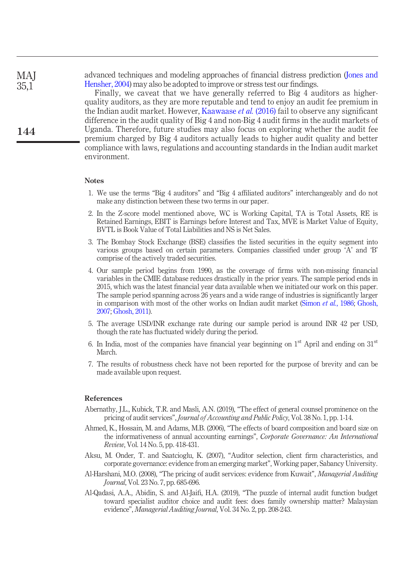advanced techniques and modeling approaches of financial distress prediction (Jones and Hensher, 2004) may also be adopted to improve or stress test our findings.

Finally, we caveat that we have generally referred to Big 4 auditors as higherquality auditors, as they are more reputable and tend to enjoy an audit fee premium in the Indian audit market. However, Kaawaase *et al.* (2016) fail to observe any significant difference in the audit quality of Big 4 and non-Big 4 audit firms in the audit markets of Uganda. Therefore, future studies may also focus on exploring whether the audit fee premium charged by Big 4 auditors actually leads to higher audit quality and better compliance with laws, regulations and accounting standards in the Indian audit market environment.

#### **Notes**

- 1. We use the terms "Big 4 auditors" and "Big 4 affiliated auditors" interchangeably and do not make any distinction between these two terms in our paper.
- 2. In the Z-score model mentioned above, WC is Working Capital, TA is Total Assets, RE is Retained Earnings, EBIT is Earnings before Interest and Tax, MVE is Market Value of Equity, BVTL is Book Value of Total Liabilities and NS is Net Sales.
- 3. The Bombay Stock Exchange (BSE) classifies the listed securities in the equity segment into various groups based on certain parameters. Companies classified under group 'A' and 'B' comprise of the actively traded securities.
- 4. Our sample period begins from 1990, as the coverage of firms with non-missing financial variables in the CMIE database reduces drastically in the prior years. The sample period ends in 2015, which was the latest financial year data available when we initiated our work on this paper. The sample period spanning across 26 years and a wide range of industries is significantly larger in comparison with most of the other works on Indian audit market (Simon *et al.*, 1986; Ghosh, 2007; Ghosh, 2011).
- 5. The average USD/INR exchange rate during our sample period is around INR 42 per USD, though the rate has fluctuated widely during the period.
- 6. In India, most of the companies have financial year beginning on  $1<sup>st</sup>$  April and ending on  $31<sup>st</sup>$ March.
- 7. The results of robustness check have not been reported for the purpose of brevity and can be made available upon request.

## References

- Abernathy, J.L., Kubick, T.R. and Masli, A.N. (2019), "The effect of general counsel prominence on the pricing of audit services", *Journal of Accounting and Public Policy*, Vol. 38 No. 1, pp. 1-14.
- Ahmed, K., Hossain, M. and Adams, M.B. (2006), "The effects of board composition and board size on the informativeness of annual accounting earnings", *Corporate Governance: An International Review*, Vol. 14 No. 5, pp. 418-431.
- Aksu, M. Onder, T. and Saatcioglu, K. (2007), "Auditor selection, client firm characteristics, and corporate governance: evidence from an emerging market", Working paper, Sabancy University.
- Al-Harshani, M.O. (2008), "The pricing of audit services: evidence from Kuwait", *Managerial Auditing Journal*, Vol. 23 No. 7, pp. 685-696.
- Al-Qadasi, A.A., Abidin, S. and Al-Jaifi, H.A. (2019), "The puzzle of internal audit function budget toward specialist auditor choice and audit fees: does family ownership matter? Malaysian evidence", *Managerial Auditing Journal*, Vol. 34 No. 2, pp. 208-243.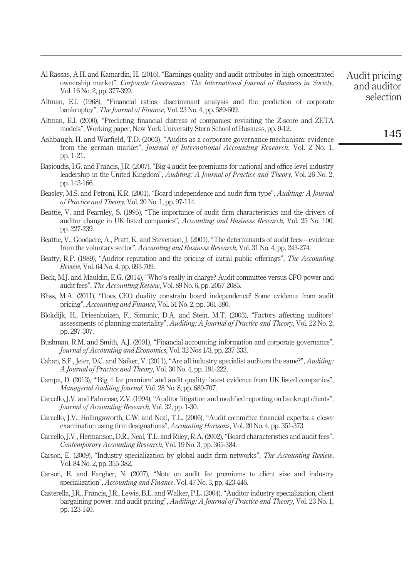- Al-Rassas, A.H. and Kamardin, H. (2016), "Earnings quality and audit attributes in high concentrated ownership market", *Corporate Governance: The International Journal of Business in Society*, Vol. 16 No. 2, pp. 377-399.
- Altman, E.I. (1968), "Financial ratios, discriminant analysis and the prediction of corporate bankruptcy", *The Journal of Finance*, Vol. 23 No. 4, pp. 589-609.
- Altman, E.I. (2000), "Predicting financial distress of companies: revisiting the Z-score and ZETA models", Working paper, New York University Stern School of Business, pp. 9-12.
- Ashbaugh, H. and Warfield, T.D. (2003), "Audits as a corporate governance mechanism: evidence from the german market", *Journal of International Accounting Research*, Vol. 2 No. 1, pp. 1-21.
- Basioudis, I.G. and Francis, J.R. (2007), "Big 4 audit fee premiums for national and office-level industry leadership in the United Kingdom", *Auditing: A Journal of Practice and Theory*, Vol. 26 No. 2, pp. 143-166.
- Beasley, M.S. and Petroni, K.R. (2001), "Board independence and audit-firm type", *Auditing: A Journal of Practice and Theory*, Vol. 20 No. 1, pp. 97-114.
- Beattie, V. and Fearnley, S. (1995), "The importance of audit firm characteristics and the drivers of auditor change in UK listed companies", *Accounting and Business Research*, Vol. 25 No. 100, pp. 227-239.
- Beattie, V., Goodacre, A., Pratt, K. and Stevenson, J. (2001), "The determinants of audit fees evidence from the voluntary sector", *Accounting and Business Research*, Vol. 31 No. 4, pp. 243-274.
- Beatty, R.P. (1989), "Auditor reputation and the pricing of initial public offerings", *The Accounting Review*, Vol. 64 No. 4, pp. 693-709.
- Beck, M.J. and Mauldin, E.G. (2014), "Who's really in charge? Audit committee versus CFO power and audit fees", *The Accounting Review*, Vol. 89 No. 6, pp. 2057-2085.
- Bliss, M.A. (2011), "Does CEO duality constrain board independence? Some evidence from audit pricing", *Accounting and Finance*, Vol. 51 No. 2, pp. 361-380.
- Blokdijk, H., Drieenhuizen, F., Simunic, D.A. and Stein, M.T. (2003), "Factors affecting auditors' assessments of planning materiality", *Auditing: A Journal of Practice and Theory*, Vol. 22 No. 2, pp. 297-307.
- Bushman, R.M. and Smith, A.J. (2001), "Financial accounting information and corporate governance", *Journal of Accounting and Economics*, Vol. 32 Nos 1/3, pp. 237-333.
- Cahan, S.F., Jeter, D.C. and Naiker, V. (2011), "Are all industry specialist auditors the same?", *Auditing: A Journal of Practice and Theory*, Vol. 30 No. 4, pp. 191-222.
- Campa, D. (2013), "'Big 4 fee premium' and audit quality: latest evidence from UK listed companies", *Managerial Auditing Journal*, Vol. 28 No. 8, pp. 680-707.
- Carcello, J.V. and Palmrose, Z.V. (1994), "Auditor litigation and modified reporting on bankrupt clients", *Journal of Accounting Research*, Vol. 32, pp. 1-30.
- Carcello, J.V., Hollingsworth, C.W. and Neal, T.L. (2006), "Audit committee financial experts: a closer examination using firm designations", *Accounting Horizons*, Vol. 20 No. 4, pp. 351-373.
- Carcello, J.V., Hermanson, D.R., Neal, T.L. and Riley, R.A. (2002), "Board characteristics and audit fees", *Contemporary Accounting Research*, Vol. 19 No. 3, pp. 365-384.
- Carson, E. (2009), "Industry specialization by global audit firm networks", *The Accounting Review*, Vol. 84 No. 2, pp. 355-382.
- Carson, E. and Fargher, N. (2007), "Note on audit fee premiums to client size and industry specialization", *Accounting and Finance*, Vol. 47 No. 3, pp. 423-446.
- Casterella, J.R., Francis, J.R., Lewis, B.L. and Walker, P.L. (2004), "Auditor industry specialization, client bargaining power, and audit pricing", *Auditing: A Journal of Practice and Theory*, Vol. 23 No. 1, pp. 123-140.

Audit pricing and auditor selection

145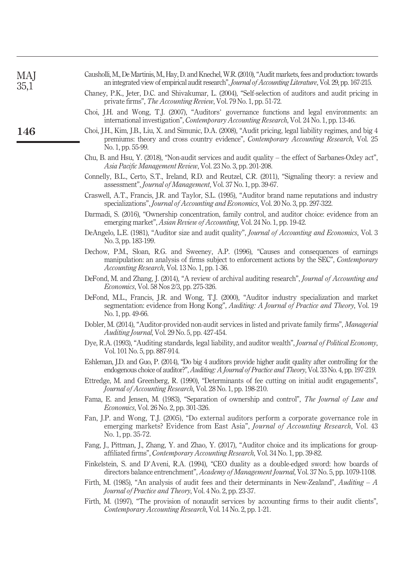| MAJ<br>35,1 | Causholli, M., De Martinis, M., Hay, D. and Knechel, W.R. (2010), "Audit markets, fees and production: towards<br>an integrated view of empirical audit research", Journal of Accounting Literature, Vol. 29, pp. 167-215.                             |
|-------------|--------------------------------------------------------------------------------------------------------------------------------------------------------------------------------------------------------------------------------------------------------|
|             | Chaney, P.K., Jeter, D.C. and Shivakumar, L. (2004), "Self-selection of auditors and audit pricing in<br>private firms", <i>The Accounting Review</i> , Vol. 79 No. 1, pp. 51-72.                                                                      |
|             | Choi, J.H. and Wong, T.J. (2007), "Auditors' governance functions and legal environments: an<br>international investigation", <i>Contemporary Accounting Research</i> , Vol. 24 No. 1, pp. 13-46.                                                      |
| 146         | Choi, J.H., Kim, J.B., Liu, X. and Simunic, D.A. (2008), "Audit pricing, legal liability regimes, and big 4<br>premiums: theory and cross country evidence", <i>Contemporary Accounting Research</i> , Vol. 25<br>No. 1, pp. 55-99.                    |
|             | Chu, B. and Hsu, Y. (2018), "Non-audit services and audit quality – the effect of Sarbanes-Oxley act",<br>Asia Pacific Management Review, Vol. 23 No. 3, pp. 201-208.                                                                                  |
|             | Connelly, B.L., Certo, S.T., Ireland, R.D. and Reutzel, C.R. (2011), "Signaling theory: a review and<br>assessment", <i>Journal of Management</i> , Vol. 37 No. 1, pp. 39-67.                                                                          |
|             | Craswell, A.T., Francis, J.R. and Taylor, S.L. (1995), "Auditor brand name reputations and industry<br>specializations", Journal of Accounting and Economics, Vol. 20 No. 3, pp. 297-322.                                                              |
|             | Darmadi, S. (2016), "Ownership concentration, family control, and auditor choice: evidence from an<br>emerging market", Asian Review of Accounting, Vol. 24 No. 1, pp. 19-42.                                                                          |
|             | DeAngelo, L.E. (1981), "Auditor size and audit quality", <i>Journal of Accounting and Economics</i> , Vol. 3<br>No. 3, pp. 183-199.                                                                                                                    |
|             | Dechow, P.M., Sloan, R.G. and Sweeney, A.P. (1996), "Causes and consequences of earnings<br>manipulation: an analysis of firms subject to enforcement actions by the SEC", <i>Contemporary</i><br><i>Accounting Research, Vol.</i> 13 No. 1, pp. 1-36. |
|             | DeFond, M. and Zhang, J. (2014), "A review of archival auditing research", Journal of Accounting and<br><i>Economics</i> , Vol. 58 Nos 2/3, pp. 275-326.                                                                                               |
|             | DeFond, M.L., Francis, J.R. and Wong, T.J. (2000), "Auditor industry specialization and market<br>segmentation: evidence from Hong Kong", Auditing: A Journal of Practice and Theory, Vol. 19<br>No. 1, pp. 49-66.                                     |
|             | Dobler, M. (2014), "Auditor-provided non-audit services in listed and private family firms", Managerial<br>Auditing Journal, Vol. 29 No. 5, pp. 427-454.                                                                                               |
|             | Dye, R.A. (1993), "Auditing standards, legal liability, and auditor wealth", <i>Journal of Political Economy</i> ,<br>Vol. 101 No. 5, pp. 887-914.                                                                                                     |
|             | Eshleman, J.D. and Guo, P. (2014), "Do big 4 auditors provide higher audit quality after controlling for the<br>endogenous choice of auditor?", Auditing: A Journal of Practice and Theory, Vol. 33 No. 4, pp. 197-219.                                |
|             | Ettredge, M. and Greenberg, R. (1990), "Determinants of fee cutting on initial audit engagements",<br>Journal of Accounting Research, Vol. 28 No. 1, pp. 198-210.                                                                                      |
|             | Fama, E. and Jensen, M. (1983), "Separation of ownership and control", The Journal of Law and<br><i>Economics</i> , Vol. 26 No. 2, pp. 301-326.                                                                                                        |
|             | Fan, J.P. and Wong, T.J. (2005), "Do external auditors perform a corporate governance role in<br>emerging markets? Evidence from East Asia", Journal of Accounting Research, Vol. 43<br>No. 1, pp. 35-72.                                              |
|             | Fang, J., Pittman, J., Zhang, Y. and Zhao, Y. (2017), "Auditor choice and its implications for group-<br>affiliated firms", Contemporary Accounting Research, Vol. 34 No. 1, pp. 39-82.                                                                |
|             | Finkelstein, S. and D'Aveni, R.A. (1994), "CEO duality as a double-edged sword: how boards of<br>directors balance entrenchment", <i>Academy of Management Journal</i> , Vol. 37 No. 5, pp. 1079-1108.                                                 |
|             | Firth, M. (1985), "An analysis of audit fees and their determinants in New-Zealand", Auditing $-A$<br><i>Journal of Practice and Theory, Vol. 4 No. 2, pp. 23-37.</i>                                                                                  |
|             | Firth, M. (1997), "The provision of nonaudit services by accounting firms to their audit clients",<br>Contemporary Accounting Research, Vol. 14 No. 2, pp. 1-21.                                                                                       |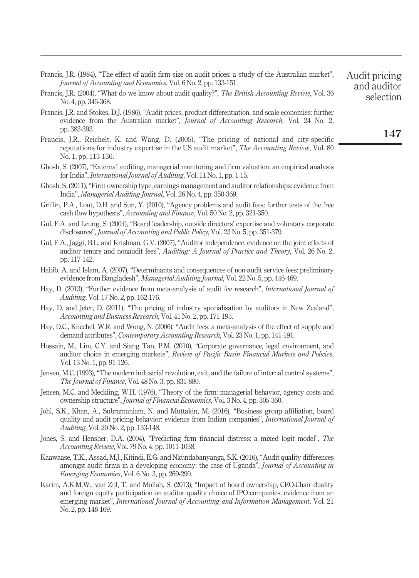| Francis, J.R. (1984), "The effect of audit firm size on audit prices: a study of the Australian market", |  |
|----------------------------------------------------------------------------------------------------------|--|
| <i>Journal of Accounting and Economics</i> , Vol. 6 No. 2, pp. 133-151.                                  |  |

- Francis, J.R. (2004), "What do we know about audit quality?", *The British Accounting Review*, Vol. 36 No. 4, pp. 345-368.
- Francis, J.R. and Stokes, D.J. (1986), "Audit prices, product differentiation, and scale economies: further evidence from the Australian market", *Journal of Accounting Research*, Vol. 24 No. 2, pp. 383-393.
- Francis, J.R., Reichelt, K. and Wang, D. (2005), "The pricing of national and city-specific reputations for industry expertise in the US audit market", *The Accounting Review*, Vol. 80 No. 1, pp. 113-136.
- Ghosh, S. (2007), "External auditing, managerial monitoring and firm valuation: an empirical analysis for India", *International Journal of Auditing*, Vol. 11 No. 1, pp. 1-15.
- Ghosh, S. (2011), "Firm ownership type, earnings management and auditor relationships: evidence from India", *Managerial Auditing Journal*, Vol. 26 No. 4, pp. 350-369.
- Griffin, P.A., Lont, D.H. and Sun, Y. (2010), "Agency problems and audit fees: further tests of the free cash flow hypothesis", *Accounting and Finance*, Vol. 50 No. 2, pp. 321-350.
- Gul, F.A. and Leung, S. (2004), "Board leadership, outside directors' expertise and voluntary corporate disclosures", *Journal of Accounting and Public Policy*, Vol. 23 No. 5, pp. 351-379.
- Gul, F.A., Jaggi, B.L. and Krishnan, G.V. (2007), "Auditor independence: evidence on the joint effects of auditor tenure and nonaudit fees", *Auditing: A Journal of Practice and Theory*, Vol. 26 No. 2, pp. 117-142.
- Habib, A. and Islam, A. (2007), "Determinants and consequences of non-audit service fees: preliminary evidence from Bangladesh", *Managerial Auditing Journal*, Vol. 22 No. 5, pp. 446-469.
- Hay, D. (2013), "Further evidence from meta-analysis of audit fee research", *International Journal of Auditing*, Vol. 17 No. 2, pp. 162-176.
- Hay, D. and Jeter, D. (2011), "The pricing of industry specialisation by auditors in New Zealand", *Accounting and Business Research*, Vol. 41 No. 2, pp. 171-195.
- Hay, D.C., Knechel, W.R. and Wong, N. (2006), "Audit fees: a meta-analysis of the effect of supply and demand attributes", *Contemporary Accounting Research*, Vol. 23 No. 1, pp. 141-191.
- Hossain, M., Lim, C.Y. and Siang Tan, P.M. (2010), "Corporate governance, legal environment, and auditor choice in emerging markets", *Review of Paci*fi*c Basin Financial Markets and Policies*, Vol. 13 No. 1, pp. 91-126.
- Jensen, M.C. (1993), "The modern industrial revolution, exit, and the failure of internal control systems", *The Journal of Finance*, Vol. 48 No. 3, pp. 831-880.
- Jensen, M.C. and Meckling, W.H. (1976), "Theory of the firm: managerial behavior, agency costs and ownership structure", *Journal of Financial Economics*, Vol. 3 No. 4, pp. 305-360.
- Johl, S.K., Khan, A., Subramaniam, N. and Muttakin, M. (2016), "Business group affiliation, board quality and audit pricing behavior: evidence from Indian companies", *International Journal of Auditing*, Vol. 20 No. 2, pp. 133-148.
- Jones, S. and Hensher, D.A. (2004), "Predicting firm financial distress: a mixed logit model", *The Accounting Review*, Vol. 79 No. 4, pp. 1011-1038.
- Kaawaase, T.K., Assad, M.J., Kitindi, E.G. and Nkundabanyanga, S.K. (2016),"Audit quality differences amongst audit firms in a developing economy: the case of Uganda", *Journal of Accounting in Emerging Economies*, Vol. 6 No. 3, pp. 269-290.
- Karim, A.K.M.W., van Zijl, T. and Mollah, S. (2013), "Impact of board ownership, CEO-Chair duality and foreign equity participation on auditor quality choice of IPO companies: evidence from an emerging market", *International Journal of Accounting and Information Management*, Vol. 21 No. 2, pp. 148-169.

147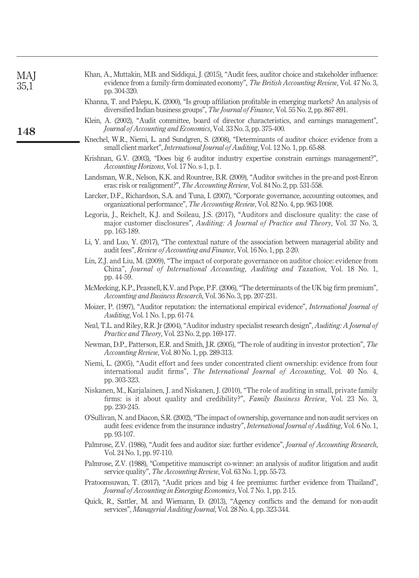| Khan, A., Muttakin, M.B. and Siddiqui, J. (2015), "Audit fees, auditor choice and stakeholder influence |
|---------------------------------------------------------------------------------------------------------|
| evidence from a family-firm dominated economy", <i>The British Accounting Review</i> , Vol. 47 No. 3.   |
| pp. 304-320.                                                                                            |

- Khanna, T. and Palepu, K. (2000), "Is group affiliation profitable in emerging markets? An analysis of diversified Indian business groups", *The Journal of Finance*, Vol. 55 No. 2, pp. 867-891.
- Klein, A. (2002), "Audit committee, board of director characteristics, and earnings management", *Journal of Accounting and Economics*, Vol. 33 No. 3, pp. 375-400.
- Knechel, W.R., Niemi, L. and Sundgren, S. (2008), "Determinants of auditor choice: evidence from a small client market", *International Journal of Auditing*, Vol. 12 No. 1, pp. 65-88.
- Krishnan, G.V. (2003), "Does big 6 auditor industry expertise constrain earnings management?", *Accounting Horizons*, Vol. 17 No. s-1, p. 1.
- Landsman, W.R., Nelson, K.K. and Rountree, B.R. (2009), "Auditor switches in the pre-and post-Enron eras: risk or realignment?", *The Accounting Review*, Vol. 84 No. 2, pp. 531-558.
- Larcker, D.F., Richardson, S.A. and Tuna, I. (2007), "Corporate governance, accounting outcomes, and organizational performance", *The Accounting Review*, Vol. 82 No. 4, pp. 963-1008.
- Legoria, J., Reichelt, K.J. and Soileau, J.S. (2017), "Auditors and disclosure quality: the case of major customer disclosures", *Auditing: A Journal of Practice and Theory*, Vol. 37 No. 3, pp. 163-189.
- Li, Y. and Luo, Y. (2017), "The contextual nature of the association between managerial ability and audit fees", *Review of Accounting and Finance*, Vol. 16 No. 1, pp. 2-20.
- Lin, Z.J. and Liu, M. (2009), "The impact of corporate governance on auditor choice: evidence from China", *Journal of International Accounting, Auditing and Taxation*, Vol. 18 No. 1, pp. 44-59.
- McMeeking, K.P., Peasnell, K.V. and Pope, P.F. (2006), "The determinants of the UK big firm premium", *Accounting and Business Research*, Vol. 36 No. 3, pp. 207-231.
- Moizer, P. (1997), "Auditor reputation: the international empirical evidence", *International Journal of Auditing*, Vol. 1 No. 1, pp. 61-74.
- Neal, T.L. and Riley, R.R. Jr (2004), "Auditor industry specialist research design", *Auditing: A Journal of Practice and Theory*, Vol. 23 No. 2, pp. 169-177.
- Newman, D.P., Patterson, E.R. and Smith, J.R. (2005), "The role of auditing in investor protection", *The Accounting Review*, Vol. 80 No. 1, pp. 289-313.
- Niemi, L. (2005), "Audit effort and fees under concentrated client ownership: evidence from four international audit firms", *The International Journal of Accounting*, Vol. 40 No. 4, pp. 303-323.
- Niskanen, M., Karjalainen, J. and Niskanen, J. (2010), "The role of auditing in small, private family firms: is it about quality and credibility?", *Family Business Review*, Vol. 23 No. 3, pp. 230-245.
- O'Sullivan, N. and Diacon, S.R. (2002), "The impact of ownership, governance and non-audit services on audit fees: evidence from the insurance industry", *International Journal of Auditing*, Vol. 6 No. 1, pp. 93-107.
- Palmrose, Z.V. (1986), "Audit fees and auditor size: further evidence", *Journal of Accounting Research*, Vol. 24 No. 1, pp. 97-110.
- Palmrose, Z.V. (1988), "Competitive manuscript co-winner: an analysis of auditor litigation and audit service quality", *The Accounting Review*, Vol. 63 No. 1, pp. 55-73.
- Pratoomsuwan, T. (2017), "Audit prices and big 4 fee premiums: further evidence from Thailand", *Journal of Accounting in Emerging Economies*, Vol. 7 No. 1, pp. 2-15.
- Quick, R., Sattler, M. and Wiemann, D. (2013), "Agency conflicts and the demand for non-audit services", *Managerial Auditing Journal*, Vol. 28 No. 4, pp. 323-344.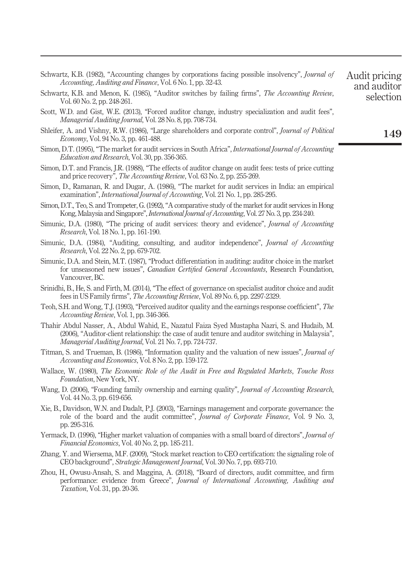| Schwartz, K.B. (1982), "Accounting changes by corporations facing possible insolvency", Journal of<br><i>Accounting, Auditing and Finance, Vol.</i> 6 No. 1, pp. 32-43.                                                                                                 | Audit pricing<br>and auditor |
|-------------------------------------------------------------------------------------------------------------------------------------------------------------------------------------------------------------------------------------------------------------------------|------------------------------|
| Schwartz, K.B. and Menon, K. (1985), "Auditor switches by failing firms", <i>The Accounting Review</i> ,<br>Vol. 60 No. 2, pp. 248-261.                                                                                                                                 | selection                    |
| Scott, W.D. and Gist, W.E. (2013), "Forced auditor change, industry specialization and audit fees",<br>Managerial Auditing Journal, Vol. 28 No. 8, pp. 708-734.                                                                                                         |                              |
| Shleifer, A. and Vishny, R.W. (1986), "Large shareholders and corporate control", <i>Journal of Political</i><br><i>Economy</i> , Vol. 94 No. 3, pp. 461-488.                                                                                                           | 149                          |
| Simon, D.T. (1995), "The market for audit services in South Africa", International Journal of Accounting<br><i>Education and Research, Vol. 30, pp. 356-365.</i>                                                                                                        |                              |
| Simon, D.T. and Francis, J.R. (1988), "The effects of auditor change on audit fees: tests of price cutting<br>and price recovery", <i>The Accounting Review</i> , Vol. 63 No. 2, pp. 255-269.                                                                           |                              |
| Simon, D., Ramanan, R. and Dugar, A. (1986), "The market for audit services in India: an empirical<br>examination", <i>International Journal of Accounting</i> , Vol. 21 No. 1, pp. 285-295.                                                                            |                              |
| Simon, D.T., Teo, S. and Trompeter, G. (1992), "A comparative study of the market for audit services in Hong<br>Kong, Malaysia and Singapore", <i>International Journal of Accounting</i> , Vol. 27 No. 3, pp. 234-240.                                                 |                              |
| Simunic, D.A. (1980), "The pricing of audit services: theory and evidence", <i>Journal of Accounting</i><br><i>Research</i> , Vol. 18 No. 1, pp. 161-190.                                                                                                               |                              |
| Simunic, D.A. (1984), "Auditing, consulting, and auditor independence", <i>Journal of Accounting</i><br><i>Research</i> , Vol. 22 No. 2, pp. 679-702.                                                                                                                   |                              |
| Simunic, D.A. and Stein, M.T. (1987), "Product differentiation in auditing: auditor choice in the market<br>for unseasoned new issues", Canadian Certified General Accountants, Research Foundation,<br>Vancouver, BC.                                                  |                              |
| Srinidhi, B., He, S. and Firth, M. (2014), "The effect of governance on specialist auditor choice and audit<br>fees in US Family firms", <i>The Accounting Review</i> , Vol. 89 No. 6, pp. 2297-2329.                                                                   |                              |
| Teoh, S.H. and Wong, T.J. (1993), "Perceived auditor quality and the earnings response coefficient", The<br><i>Accounting Review, Vol. 1, pp. 346-366.</i>                                                                                                              |                              |
| Thahir Abdul Nasser, A., Abdul Wahid, E., Nazatul Faiza Syed Mustapha Nazri, S. and Hudaib, M.<br>(2006), "Auditor-client relationship: the case of audit tenure and auditor switching in Malaysia",<br><i>Managerial Auditing Journal, Vol. 21 No. 7, pp. 724-737.</i> |                              |
| Titman, S. and Trueman, B. (1986), "Information quality and the valuation of new issues", <i>Journal of</i><br><i>Accounting and Economics, Vol. 8 No. 2, pp. 159-172.</i>                                                                                              |                              |
| Wallace, W. (1980), The Economic Role of the Audit in Free and Regulated Markets, Touche Ross<br><i>Foundation</i> , New York, NY.                                                                                                                                      |                              |
| Wang, D. (2006), "Founding family ownership and earning quality", <i>Journal of Accounting Research</i> ,<br>Vol. 44 No. 3, pp. 619-656.                                                                                                                                |                              |
| Xie, B., Davidson, W.N. and Dadalt, P.J. (2003), "Earnings management and corporate governance: the<br>role of the board and the audit committee", <i>Journal of Corporate Finance</i> , Vol. 9 No. 3,<br>pp. 295-316.                                                  |                              |
| Yermack, D. (1996), "Higher market valuation of companies with a small board of directors", <i>Journal of</i><br><i>Financial Economics</i> , Vol. 40 No. 2, pp. 185-211.                                                                                               |                              |
| Zhang, Y. and Wiersema, M.F. (2009), "Stock market reaction to CEO certification: the signaling role of<br>CEO background", Strategic Management Journal, Vol. 30 No. 7, pp. 693-710.                                                                                   |                              |
| Zhou, H., Owusu-Ansah, S. and Maggina, A. (2018), "Board of directors, audit committee, and firm<br>performance: evidence from Greece", Journal of International Accounting, Auditing and<br><i>Taxation</i> , Vol. 31, pp. 20-36.                                      |                              |
|                                                                                                                                                                                                                                                                         |                              |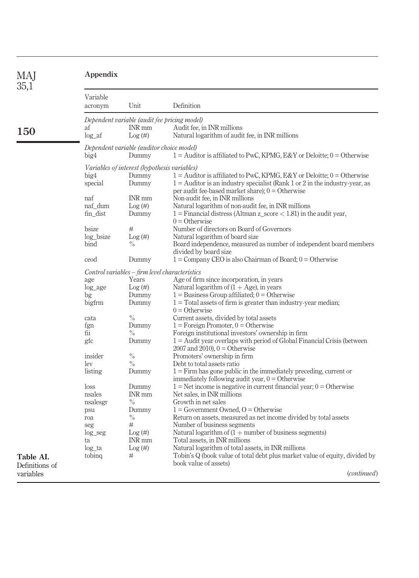| <b>MAI</b><br>35,1 | Appendix            |                                                |                                                                                                                          |  |
|--------------------|---------------------|------------------------------------------------|--------------------------------------------------------------------------------------------------------------------------|--|
|                    | Variable<br>acronym | Unit                                           | Definition                                                                                                               |  |
|                    |                     | Dependent variable (audit fee pricing model)   |                                                                                                                          |  |
|                    | af                  | INR mm                                         | Audit fee, in INR millions                                                                                               |  |
| 150                | $log_a$             | Log (#)                                        | Natural logarithm of audit fee, in INR millions                                                                          |  |
|                    |                     | Dependent variable (auditor choice model)      |                                                                                                                          |  |
|                    | big4                | Dummy                                          | $1 =$ Auditor is affiliated to PwC, KPMG, E&Y or Deloitte; $0 =$ Otherwise                                               |  |
|                    |                     | Variables of interest (hypothesis variables)   |                                                                                                                          |  |
|                    | big4                | Dummy                                          | $1 =$ Auditor is affiliated to PwC, KPMG, E&Y or Deloitte; $0 =$ Otherwise                                               |  |
|                    | special             | Dummy                                          | $1 =$ Auditor is an industry specialist (Rank 1 or 2 in the industry-year, as                                            |  |
|                    |                     |                                                | per audit fee-based market share); $0 =$ Otherwise                                                                       |  |
|                    | naf                 | <b>INR</b> mm                                  | Non-audit fee, in INR millions                                                                                           |  |
|                    | naf dum             | Log (#)                                        | Natural logarithm of non-audit fee, in INR millions                                                                      |  |
|                    | fin_dist            | Dummy                                          | $1 =$ Financial distress (Altman z_score < 1.81) in the audit year,                                                      |  |
|                    |                     |                                                | $0 =$ Otherwise                                                                                                          |  |
|                    | bsize               | #                                              | Number of directors on Board of Governors                                                                                |  |
|                    | log bsize           | Log(#)                                         | Natural logarithm of board size                                                                                          |  |
|                    | bind                | $\%$                                           | Board independence, measured as number of independent board members                                                      |  |
|                    |                     |                                                | divided by board size                                                                                                    |  |
|                    | ceod                | Dummy                                          | $1 =$ Company CEO is also Chairman of Board; $0 =$ Otherwise                                                             |  |
|                    |                     | Control variables – firm level characteristics |                                                                                                                          |  |
|                    | age                 | Years                                          | Age of firm since incorporation, in years                                                                                |  |
|                    | $log\_{age}$        | Log(#)                                         | Natural logarithm of $(1 + Age)$ , in years                                                                              |  |
|                    | bg                  | Dummy                                          | $1 =$ Business Group affiliated; $0 =$ Otherwise                                                                         |  |
|                    | bigfrm              | Dummy                                          | $1 = \text{Total assets of firm is greater than industry-year median};$<br>$0 =$ Otherwise                               |  |
|                    | cata                | $\%$                                           | Current assets, divided by total assets                                                                                  |  |
|                    | fgn                 | Dummy                                          | $1 =$ Foreign Promoter, $0 =$ Otherwise                                                                                  |  |
|                    | fii                 | $\%$                                           | Foreign institutional investors' ownership in firm                                                                       |  |
|                    | gfc                 | Dummy                                          | $1 =$ Audit year overlaps with period of Global Financial Crisis (between                                                |  |
|                    |                     |                                                | $2007$ and $2010$ ), $0 =$ Otherwise                                                                                     |  |
|                    | insider             | $\%$                                           | Promoters' ownership in firm                                                                                             |  |
|                    | lev                 | $\frac{0}{0}$                                  | Debt to total assets ratio                                                                                               |  |
|                    | listing             | Dummy                                          | $1 =$ Firm has gone public in the immediately preceding, current or<br>immediately following audit year, $0 =$ Otherwise |  |
|                    | loss                | Dummy                                          | $1 =$ Net income is negative in current financial year; $0 =$ Otherwise                                                  |  |
|                    | nsales              | INR mm                                         | Net sales, in INR millions                                                                                               |  |
|                    | nsalesgr            | $\%$                                           | Growth in net sales                                                                                                      |  |
|                    | psu                 | Dummy                                          | $1 = Government$ Owned, $0 = Otherwise$                                                                                  |  |
|                    | roa                 | $\%$                                           | Return on assets, measured as net income divided by total assets                                                         |  |
|                    | seg                 | #                                              | Number of business segments                                                                                              |  |
|                    | $log$ seg           | Log (#)                                        | Natural logarithm of $(1 +$ number of business segments)                                                                 |  |
|                    | ta                  | INR mm                                         | Total assets, in INR millions                                                                                            |  |
|                    | log <sub>1</sub> ta | Log(#)                                         | Natural logarithm of total assets, in INR millions                                                                       |  |
| Table AI.          | tobing              | #                                              | Tobin's Q (book value of total debt plus market value of equity, divided by                                              |  |
| Definitions of     |                     |                                                | book value of assets)                                                                                                    |  |
| variables          |                     |                                                | ( <i>continued</i> )                                                                                                     |  |